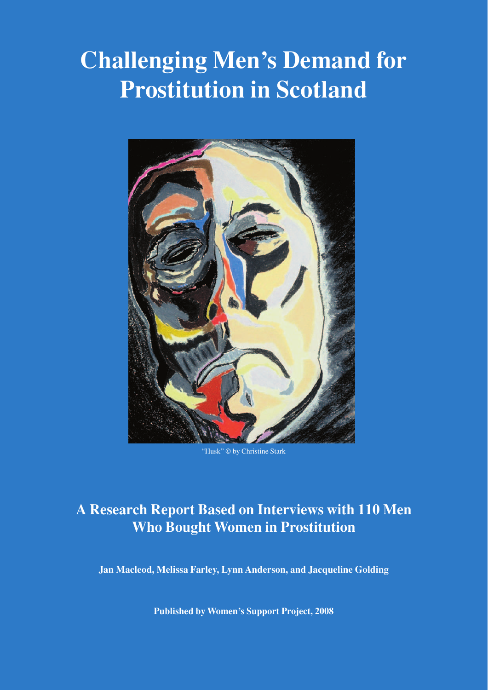# **Challenging Men's Demand for Prostitution in Scotland**



"Husk" © by Christine Stark

# **A Research Report Based on Interviews with 110 Men Who Bought Women in Prostitution**

**Jan Macleod, Melissa Farley, Lynn Anderson, and Jacqueline Golding**

**Published by Women's Support Project, 2008**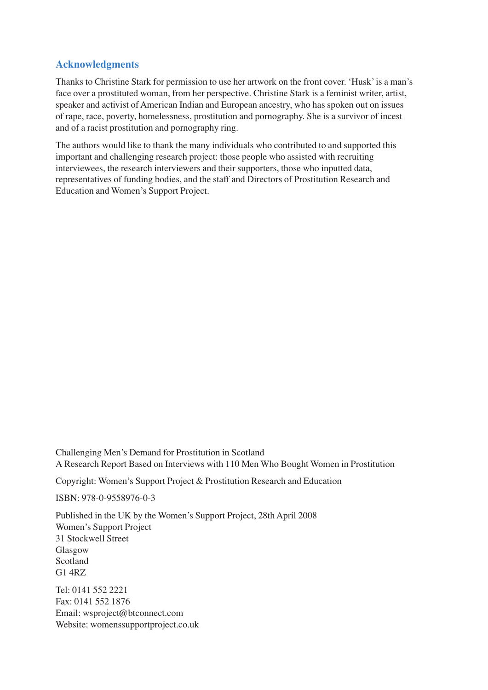# **Acknowledgments**

Thanks to Christine Stark for permission to use her artwork on the front cover. 'Husk' is a man's face over a prostituted woman, from her perspective. Christine Stark is a feminist writer, artist, speaker and activist of American Indian and European ancestry, who has spoken out on issues of rape, race, poverty, homelessness, prostitution and pornography. She is a survivor of incest and of a racist prostitution and pornography ring.

The authors would like to thank the many individuals who contributed to and supported this important and challenging research project: those people who assisted with recruiting interviewees, the research interviewers and their supporters, those who inputted data, representatives of funding bodies, and the staff and Directors of Prostitution Research and Education and Women's Support Project.

Challenging Men's Demand for Prostitution in Scotland A Research Report Based on Interviews with 110 Men Who Bought Women in Prostitution

Copyright: Women's Support Project & Prostitution Research and Education

ISBN: 978-0-9558976-0-3

Published in the UK by the Women's Support Project, 28th April 2008 Women's Support Project 31 Stockwell Street Glasgow Scotland G1 4RZ

Tel: 0141 552 2221 Fax: 0141 552 1876 Email: wsproject@btconnect.com Website: womenssupportproject.co.uk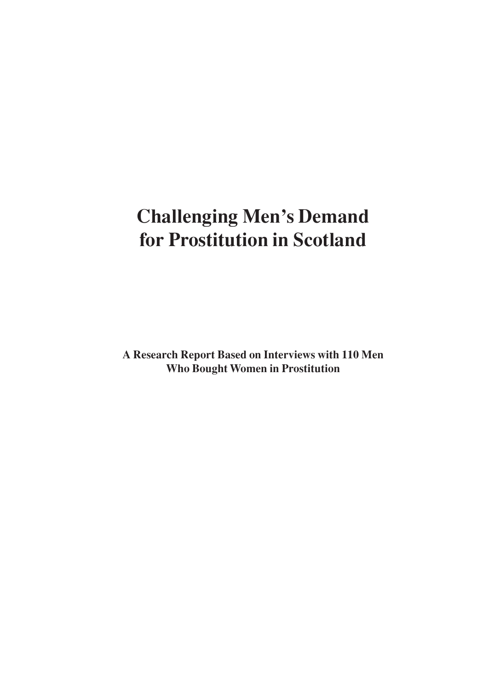# **Challenging Men's Demand for Prostitution in Scotland**

**A Research Report Based on Interviews with 110 Men Who Bought Women in Prostitution**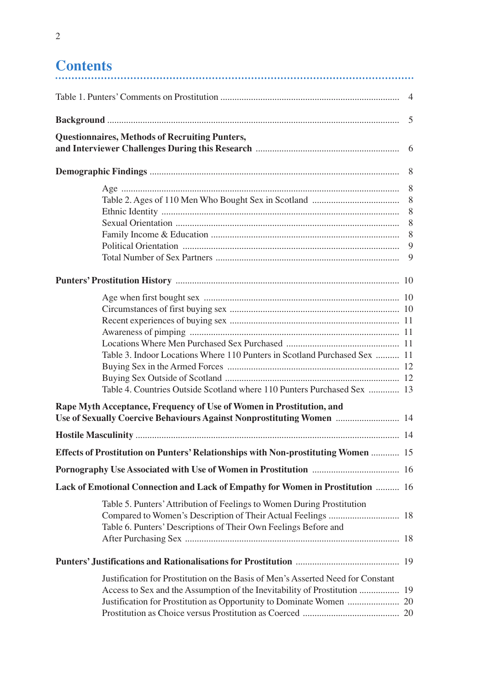# **Contents**

| <b>Questionnaires, Methods of Recruiting Punters,</b>                             |   |
|-----------------------------------------------------------------------------------|---|
|                                                                                   |   |
|                                                                                   |   |
|                                                                                   |   |
|                                                                                   | 8 |
|                                                                                   |   |
|                                                                                   |   |
|                                                                                   |   |
|                                                                                   |   |
|                                                                                   | 9 |
|                                                                                   |   |
|                                                                                   |   |
|                                                                                   |   |
|                                                                                   |   |
|                                                                                   |   |
|                                                                                   |   |
| Table 3. Indoor Locations Where 110 Punters in Scotland Purchased Sex  11         |   |
|                                                                                   |   |
|                                                                                   |   |
| Table 4. Countries Outside Scotland where 110 Punters Purchased Sex  13           |   |
| Rape Myth Acceptance, Frequency of Use of Women in Prostitution, and              |   |
| Use of Sexually Coercive Behaviours Against Nonprostituting Women  14             |   |
|                                                                                   |   |
| Effects of Prostitution on Punters' Relationships with Non-prostituting Women  15 |   |
|                                                                                   |   |
| Lack of Emotional Connection and Lack of Empathy for Women in Prostitution  16    |   |
| Table 5. Punters' Attribution of Feelings to Women During Prostitution            |   |
| Table 6. Punters' Descriptions of Their Own Feelings Before and                   |   |
|                                                                                   |   |
| Justification for Prostitution on the Basis of Men's Asserted Need for Constant   |   |
|                                                                                   |   |
|                                                                                   |   |
|                                                                                   |   |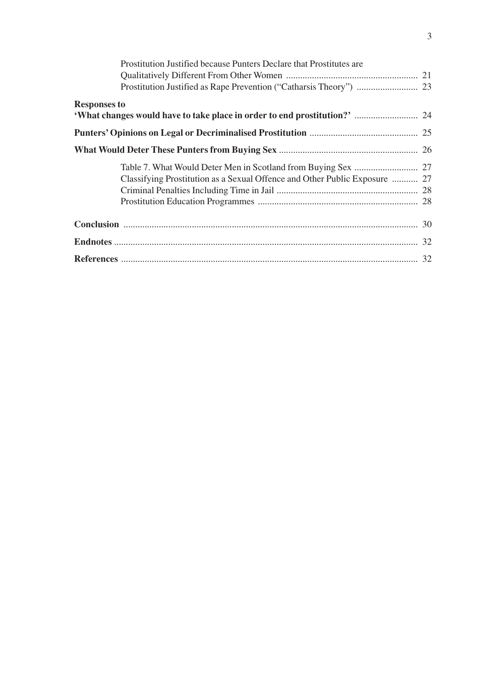| Prostitution Justified because Punters Declare that Prostitutes are        |  |
|----------------------------------------------------------------------------|--|
|                                                                            |  |
|                                                                            |  |
| <b>Responses to</b>                                                        |  |
|                                                                            |  |
|                                                                            |  |
|                                                                            |  |
|                                                                            |  |
| Classifying Prostitution as a Sexual Offence and Other Public Exposure  27 |  |
|                                                                            |  |
|                                                                            |  |
|                                                                            |  |
|                                                                            |  |
|                                                                            |  |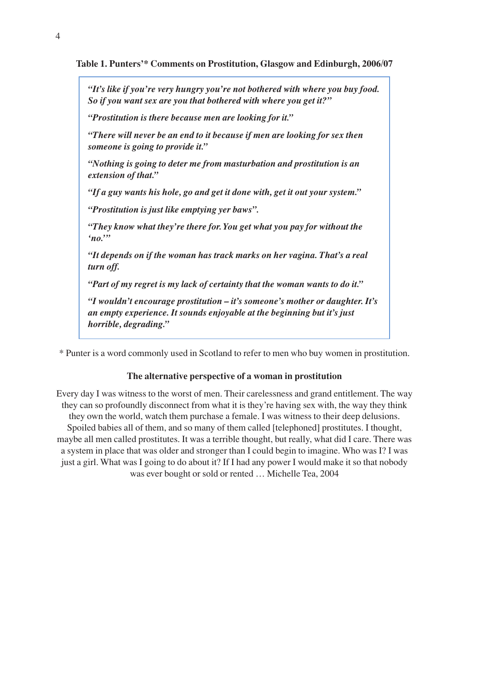**Table 1. Punters'\* Comments on Prostitution, Glasgow and Edinburgh, 2006/07**

*"It's like if you're very hungry you're not bothered with where you buy food. So if you want sex are you that bothered with where you get it?"*

*"Prostitution is there because men are looking for it."*

*"There will never be an end to it because if men are looking for sex then someone is going to provide it."*

*"Nothing is going to deter me from masturbation and prostitution is an extension of that."*

*"If a guy wants his hole, go and get it done with, get it out your system."*

*"Prostitution is just like emptying yer baws".*

*"They know what they're there for. You get what you pay for without the 'no.'"*

*"It depends on if the woman has track marks on her vagina. That's a real turn off.*

*"Part of my regret is my lack of certainty that the woman wants to do it."*

*"I wouldn't encourage prostitution – it's someone's mother or daughter. It's an empty experience. It sounds enjoyable at the beginning but it's just horrible, degrading."*

\* Punter is a word commonly used in Scotland to refer to men who buy women in prostitution.

#### **The alternative perspective of a woman in prostitution**

Every day I was witness to the worst of men. Their carelessness and grand entitlement. The way they can so profoundly disconnect from what it is they're having sex with, the way they think they own the world, watch them purchase a female. I was witness to their deep delusions. Spoiled babies all of them, and so many of them called [telephoned] prostitutes. I thought, maybe all men called prostitutes. It was a terrible thought, but really, what did I care. There was a system in place that was older and stronger than I could begin to imagine. Who was I? I was just a girl. What was I going to do about it? If I had any power I would make it so that nobody was ever bought or sold or rented … Michelle Tea, 2004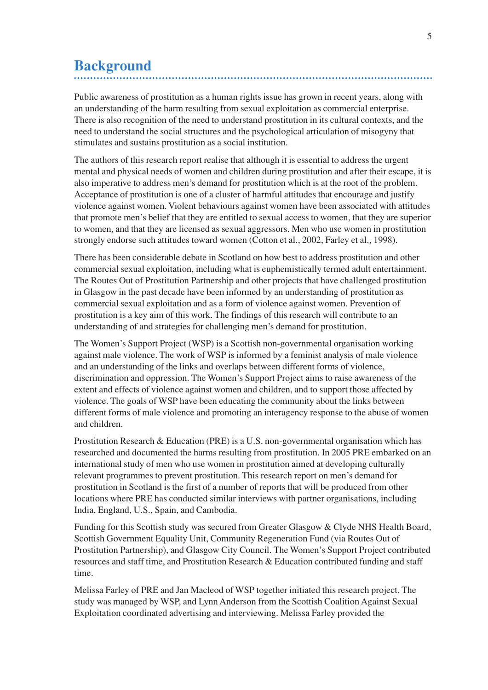# **Background**

Public awareness of prostitution as a human rights issue has grown in recent years, along with an understanding of the harm resulting from sexual exploitation as commercial enterprise. There is also recognition of the need to understand prostitution in its cultural contexts, and the need to understand the social structures and the psychological articulation of misogyny that stimulates and sustains prostitution as a social institution.

The authors of this research report realise that although it is essential to address the urgent mental and physical needs of women and children during prostitution and after their escape, it is also imperative to address men's demand for prostitution which is at the root of the problem. Acceptance of prostitution is one of a cluster of harmful attitudes that encourage and justify violence against women. Violent behaviours against women have been associated with attitudes that promote men's belief that they are entitled to sexual access to women, that they are superior to women, and that they are licensed as sexual aggressors. Men who use women in prostitution strongly endorse such attitudes toward women (Cotton et al., 2002, Farley et al., 1998).

There has been considerable debate in Scotland on how best to address prostitution and other commercial sexual exploitation, including what is euphemistically termed adult entertainment. The Routes Out of Prostitution Partnership and other projects that have challenged prostitution in Glasgow in the past decade have been informed by an understanding of prostitution as commercial sexual exploitation and as a form of violence against women. Prevention of prostitution is a key aim of this work. The findings of this research will contribute to an understanding of and strategies for challenging men's demand for prostitution.

The Women's Support Project (WSP) is a Scottish non-governmental organisation working against male violence. The work of WSP is informed by a feminist analysis of male violence and an understanding of the links and overlaps between different forms of violence, discrimination and oppression. The Women's Support Project aims to raise awareness of the extent and effects of violence against women and children, and to support those affected by violence. The goals of WSP have been educating the community about the links between different forms of male violence and promoting an interagency response to the abuse of women and children.

Prostitution Research & Education (PRE) is a U.S. non-governmental organisation which has researched and documented the harms resulting from prostitution. In 2005 PRE embarked on an international study of men who use women in prostitution aimed at developing culturally relevant programmes to prevent prostitution. This research report on men's demand for prostitution in Scotland is the first of a number of reports that will be produced from other locations where PRE has conducted similar interviews with partner organisations, including India, England, U.S., Spain, and Cambodia.

Funding for this Scottish study was secured from Greater Glasgow & Clyde NHS Health Board, Scottish Government Equality Unit, Community Regeneration Fund (via Routes Out of Prostitution Partnership), and Glasgow City Council. The Women's Support Project contributed resources and staff time, and Prostitution Research & Education contributed funding and staff time.

Melissa Farley of PRE and Jan Macleod of WSP together initiated this research project. The study was managed by WSP, and Lynn Anderson from the Scottish Coalition Against Sexual Exploitation coordinated advertising and interviewing. Melissa Farley provided the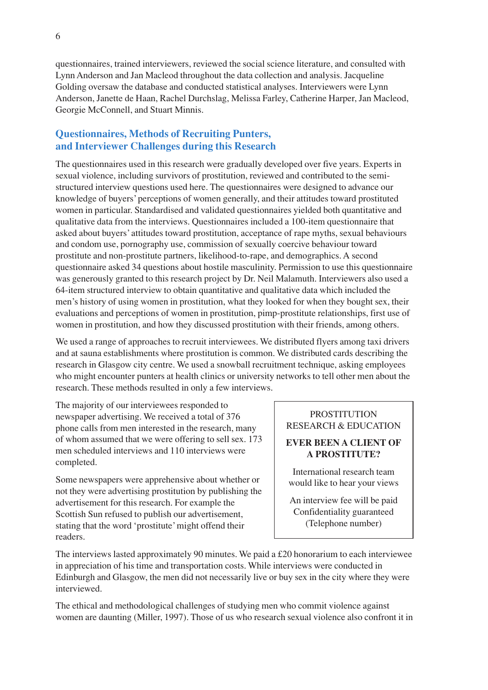questionnaires, trained interviewers, reviewed the social science literature, and consulted with Lynn Anderson and Jan Macleod throughout the data collection and analysis. Jacqueline Golding oversaw the database and conducted statistical analyses. Interviewers were Lynn Anderson, Janette de Haan, Rachel Durchslag, Melissa Farley, Catherine Harper, Jan Macleod, Georgie McConnell, and Stuart Minnis.

# **Questionnaires, Methods of Recruiting Punters, and Interviewer Challenges during this Research**

The questionnaires used in this research were gradually developed over five years. Experts in sexual violence, including survivors of prostitution, reviewed and contributed to the semistructured interview questions used here. The questionnaires were designed to advance our knowledge of buyers' perceptions of women generally, and their attitudes toward prostituted women in particular. Standardised and validated questionnaires yielded both quantitative and qualitative data from the interviews. Questionnaires included a 100-item questionnaire that asked about buyers' attitudes toward prostitution, acceptance of rape myths, sexual behaviours and condom use, pornography use, commission of sexually coercive behaviour toward prostitute and non-prostitute partners, likelihood-to-rape, and demographics. A second questionnaire asked 34 questions about hostile masculinity. Permission to use this questionnaire was generously granted to this research project by Dr. Neil Malamuth. Interviewers also used a 64-item structured interview to obtain quantitative and qualitative data which included the men's history of using women in prostitution, what they looked for when they bought sex, their evaluations and perceptions of women in prostitution, pimp-prostitute relationships, first use of women in prostitution, and how they discussed prostitution with their friends, among others.

We used a range of approaches to recruit interviewees. We distributed flyers among taxi drivers and at sauna establishments where prostitution is common. We distributed cards describing the research in Glasgow city centre. We used a snowball recruitment technique, asking employees who might encounter punters at health clinics or university networks to tell other men about the research. These methods resulted in only a few interviews.

The majority of our interviewees responded to newspaper advertising. We received a total of 376 phone calls from men interested in the research, many of whom assumed that we were offering to sell sex. 173 men scheduled interviews and 110 interviews were completed.

Some newspapers were apprehensive about whether or not they were advertising prostitution by publishing the advertisement for this research. For example the Scottish Sun refused to publish our advertisement, stating that the word 'prostitute' might offend their readers.

# **PROSTITUTION** RESEARCH & EDUCATION

# **EVER BEEN A CLIENT OF A PROSTITUTE?**

International research team would like to hear your views

An interview fee will be paid Confidentiality guaranteed (Telephone number)

The interviews lasted approximately 90 minutes. We paid a £20 honorarium to each interviewee in appreciation of his time and transportation costs. While interviews were conducted in Edinburgh and Glasgow, the men did not necessarily live or buy sex in the city where they were interviewed.

The ethical and methodological challenges of studying men who commit violence against women are daunting (Miller, 1997). Those of us who research sexual violence also confront it in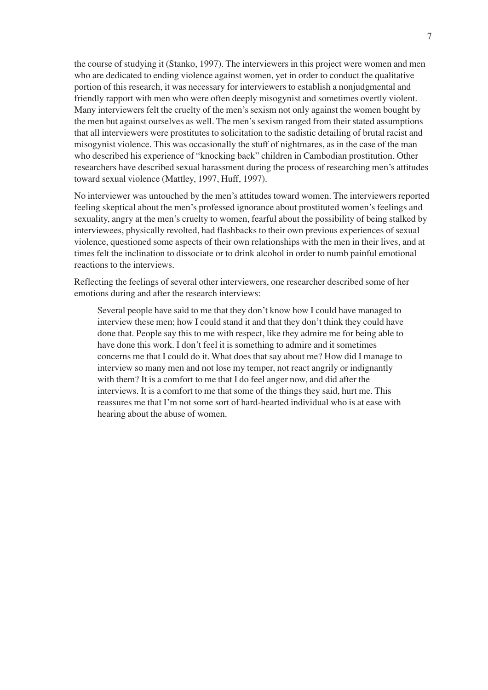the course of studying it (Stanko, 1997). The interviewers in this project were women and men who are dedicated to ending violence against women, yet in order to conduct the qualitative portion of this research, it was necessary for interviewers to establish a nonjudgmental and friendly rapport with men who were often deeply misogynist and sometimes overtly violent. Many interviewers felt the cruelty of the men's sexism not only against the women bought by the men but against ourselves as well. The men's sexism ranged from their stated assumptions that all interviewers were prostitutes to solicitation to the sadistic detailing of brutal racist and misogynist violence. This was occasionally the stuff of nightmares, as in the case of the man who described his experience of "knocking back" children in Cambodian prostitution. Other researchers have described sexual harassment during the process of researching men's attitudes toward sexual violence (Mattley, 1997, Huff, 1997).

No interviewer was untouched by the men's attitudes toward women. The interviewers reported feeling skeptical about the men's professed ignorance about prostituted women's feelings and sexuality, angry at the men's cruelty to women, fearful about the possibility of being stalked by interviewees, physically revolted, had flashbacks to their own previous experiences of sexual violence, questioned some aspects of their own relationships with the men in their lives, and at times felt the inclination to dissociate or to drink alcohol in order to numb painful emotional reactions to the interviews.

Reflecting the feelings of several other interviewers, one researcher described some of her emotions during and after the research interviews:

Several people have said to me that they don't know how I could have managed to interview these men; how I could stand it and that they don't think they could have done that. People say this to me with respect, like they admire me for being able to have done this work. I don't feel it is something to admire and it sometimes concerns me that I could do it. What does that say about me? How did I manage to interview so many men and not lose my temper, not react angrily or indignantly with them? It is a comfort to me that I do feel anger now, and did after the interviews. It is a comfort to me that some of the things they said, hurt me. This reassures me that I'm not some sort of hard-hearted individual who is at ease with hearing about the abuse of women.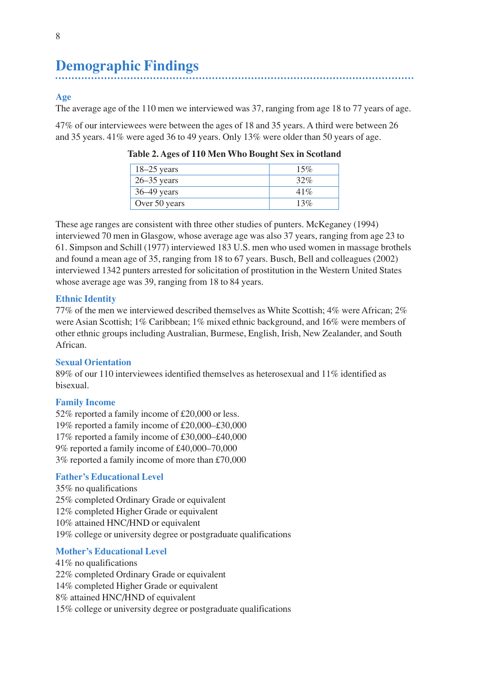# **Demographic Findings**

### **Age**

The average age of the 110 men we interviewed was 37, ranging from age 18 to 77 years of age.

47% of our interviewees were between the ages of 18 and 35 years. A third were between 26 and 35 years. 41% were aged 36 to 49 years. Only 13% were older than 50 years of age.

| $18-25$ years   | 15% |
|-----------------|-----|
| $26 - 35$ years | 32% |
| $36-49$ years   | 41% |
| Over 50 years   | 13% |

**Table 2. Ages of 110 Men Who Bought Sex in Scotland**

These age ranges are consistent with three other studies of punters. McKeganey (1994) interviewed 70 men in Glasgow, whose average age was also 37 years, ranging from age 23 to 61. Simpson and Schill (1977) interviewed 183 U.S. men who used women in massage brothels and found a mean age of 35, ranging from 18 to 67 years. Busch, Bell and colleagues (2002) interviewed 1342 punters arrested for solicitation of prostitution in the Western United States whose average age was 39, ranging from 18 to 84 years.

#### **Ethnic Identity**

77% of the men we interviewed described themselves as White Scottish; 4% were African; 2% were Asian Scottish; 1% Caribbean; 1% mixed ethnic background, and 16% were members of other ethnic groups including Australian, Burmese, English, Irish, New Zealander, and South African.

#### **Sexual Orientation**

89% of our 110 interviewees identified themselves as heterosexual and 11% identified as bisexual.

#### **Family Income**

52% reported a family income of £20,000 or less. 19% reported a family income of £20,000–£30,000 17% reported a family income of £30,000–£40,000 9% reported a family income of £40,000–70,000 3% reported a family income of more than £70,000

#### **Father's Educational Level**

35% no qualifications 25% completed Ordinary Grade or equivalent 12% completed Higher Grade or equivalent 10% attained HNC/HND or equivalent 19% college or university degree or postgraduate qualifications

#### **Mother's Educational Level**

41% no qualifications 22% completed Ordinary Grade or equivalent 14% completed Higher Grade or equivalent 8% attained HNC/HND of equivalent 15% college or university degree or postgraduate qualifications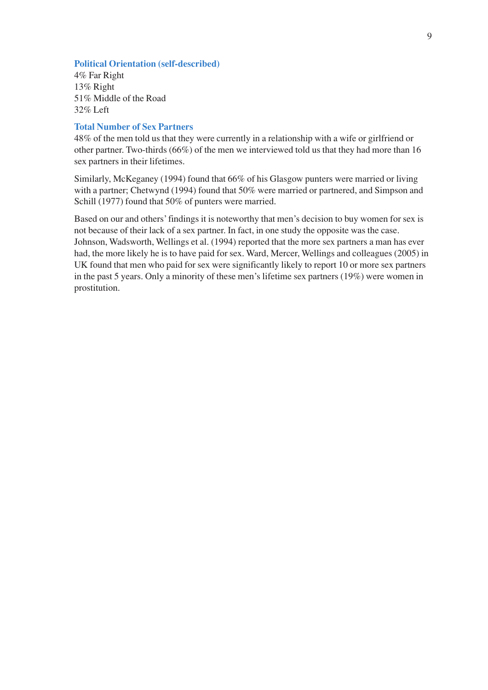### **Political Orientation (self-described)**

4% Far Right 13% Right 51% Middle of the Road 32% Left

#### **Total Number of Sex Partners**

48% of the men told us that they were currently in a relationship with a wife or girlfriend or other partner. Two-thirds (66%) of the men we interviewed told us that they had more than 16 sex partners in their lifetimes.

Similarly, McKeganey (1994) found that 66% of his Glasgow punters were married or living with a partner; Chetwynd (1994) found that 50% were married or partnered, and Simpson and Schill (1977) found that 50% of punters were married.

Based on our and others' findings it is noteworthy that men's decision to buy women for sex is not because of their lack of a sex partner. In fact, in one study the opposite was the case. Johnson, Wadsworth, Wellings et al. (1994) reported that the more sex partners a man has ever had, the more likely he is to have paid for sex. Ward, Mercer, Wellings and colleagues (2005) in UK found that men who paid for sex were significantly likely to report 10 or more sex partners in the past 5 years. Only a minority of these men's lifetime sex partners (19%) were women in prostitution.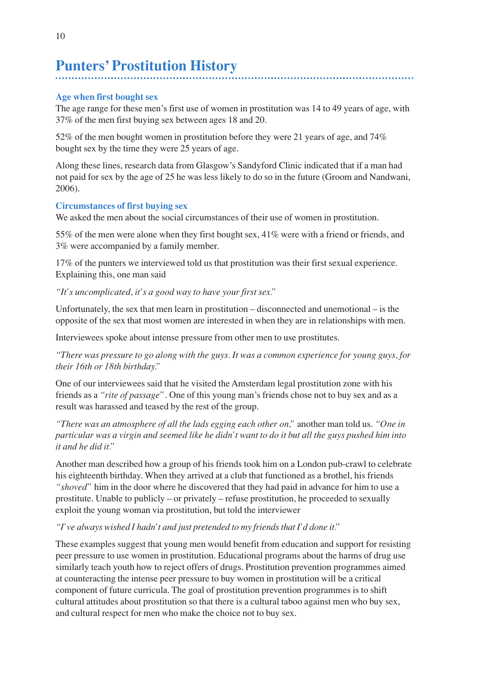# **Punters' Prostitution History**

### **Age when first bought sex**

The age range for these men's first use of women in prostitution was 14 to 49 years of age, with 37% of the men first buying sex between ages 18 and 20.

52% of the men bought women in prostitution before they were 21 years of age, and 74% bought sex by the time they were 25 years of age.

Along these lines, research data from Glasgow's Sandyford Clinic indicated that if a man had not paid for sex by the age of 25 he was less likely to do so in the future (Groom and Nandwani, 2006).

#### **Circumstances of first buying sex**

We asked the men about the social circumstances of their use of women in prostitution.

55% of the men were alone when they first bought sex, 41% were with a friend or friends, and 3% were accompanied by a family member.

17% of the punters we interviewed told us that prostitution was their first sexual experience. Explaining this, one man said

*"It's uncomplicated, it's a good way to have your first sex."*

Unfortunately, the sex that men learn in prostitution – disconnected and unemotional – is the opposite of the sex that most women are interested in when they are in relationships with men.

Interviewees spoke about intense pressure from other men to use prostitutes.

*"There was pressure to go along with the guys. It was a common experience for young guys, for their 16th or 18th birthday."*

One of our interviewees said that he visited the Amsterdam legal prostitution zone with his friends as a *"rite of passage"*. One of this young man's friends chose not to buy sex and as a result was harassed and teased by the rest of the group.

*"There was an atmosphere of all the lads egging each other on,"* another man told us. *"One in particular was a virgin and seemed like he didn't want to do it but all the guys pushed him into it and he did it."*

Another man described how a group of his friends took him on a London pub-crawl to celebrate his eighteenth birthday. When they arrived at a club that functioned as a brothel, his friends *"shoved"* him in the door where he discovered that they had paid in advance for him to use a prostitute. Unable to publicly – or privately – refuse prostitution, he proceeded to sexually exploit the young woman via prostitution, but told the interviewer

*"I've always wished I hadn't and just pretended to my friends that I'd done it."*

These examples suggest that young men would benefit from education and support for resisting peer pressure to use women in prostitution. Educational programs about the harms of drug use similarly teach youth how to reject offers of drugs. Prostitution prevention programmes aimed at counteracting the intense peer pressure to buy women in prostitution will be a critical component of future curricula. The goal of prostitution prevention programmes is to shift cultural attitudes about prostitution so that there is a cultural taboo against men who buy sex, and cultural respect for men who make the choice not to buy sex.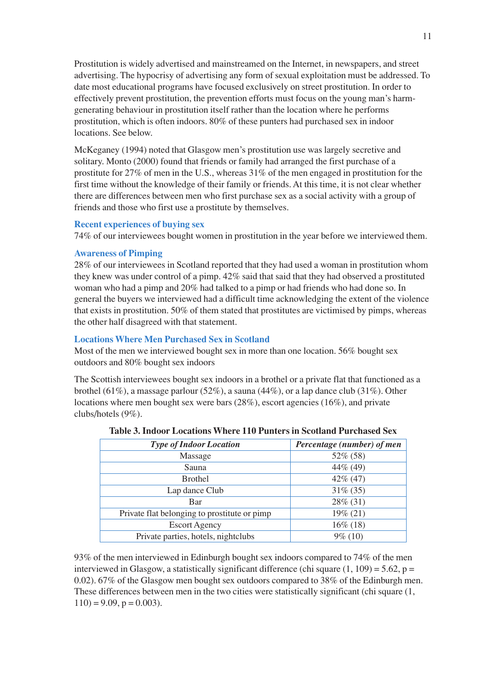Prostitution is widely advertised and mainstreamed on the Internet, in newspapers, and street advertising. The hypocrisy of advertising any form of sexual exploitation must be addressed. To date most educational programs have focused exclusively on street prostitution. In order to effectively prevent prostitution, the prevention efforts must focus on the young man's harmgenerating behaviour in prostitution itself rather than the location where he performs prostitution, which is often indoors. 80% of these punters had purchased sex in indoor locations. See below.

McKeganey (1994) noted that Glasgow men's prostitution use was largely secretive and solitary. Monto (2000) found that friends or family had arranged the first purchase of a prostitute for 27% of men in the U.S., whereas 31% of the men engaged in prostitution for the first time without the knowledge of their family or friends. At this time, it is not clear whether there are differences between men who first purchase sex as a social activity with a group of friends and those who first use a prostitute by themselves.

#### **Recent experiences of buying sex**

74% of our interviewees bought women in prostitution in the year before we interviewed them.

#### **Awareness of Pimping**

28% of our interviewees in Scotland reported that they had used a woman in prostitution whom they knew was under control of a pimp. 42% said that said that they had observed a prostituted woman who had a pimp and 20% had talked to a pimp or had friends who had done so. In general the buyers we interviewed had a difficult time acknowledging the extent of the violence that exists in prostitution. 50% of them stated that prostitutes are victimised by pimps, whereas the other half disagreed with that statement.

#### **Locations Where Men Purchased Sex in Scotland**

Most of the men we interviewed bought sex in more than one location. 56% bought sex outdoors and 80% bought sex indoors

The Scottish interviewees bought sex indoors in a brothel or a private flat that functioned as a brothel (61%), a massage parlour (52%), a sauna (44%), or a lap dance club (31%). Other locations where men bought sex were bars (28%), escort agencies (16%), and private clubs/hotels (9%).

| <b>Type of Indoor Location</b>               | Percentage (number) of men |
|----------------------------------------------|----------------------------|
| Massage                                      | 52% (58)                   |
| Sauna                                        | 44% (49)                   |
| <b>Brothel</b>                               | $42\%$ (47)                |
| Lap dance Club                               | $31\% (35)$                |
| Bar                                          | 28% (31)                   |
| Private flat belonging to prostitute or pimp | 19% (21)                   |
| <b>Escort Agency</b>                         | $16\%$ (18)                |
| Private parties, hotels, nightclubs          | $9\%$ (10)                 |

| <b>Table 3. Indoor Locations Where 110 Punters in Scotland Purchased Sex</b> |
|------------------------------------------------------------------------------|
|------------------------------------------------------------------------------|

93% of the men interviewed in Edinburgh bought sex indoors compared to 74% of the men interviewed in Glasgow, a statistically significant difference (chi square  $(1, 109) = 5.62$ , p = 0.02). 67% of the Glasgow men bought sex outdoors compared to 38% of the Edinburgh men. These differences between men in the two cities were statistically significant (chi square (1,  $110$ ) = 9.09, p = 0.003).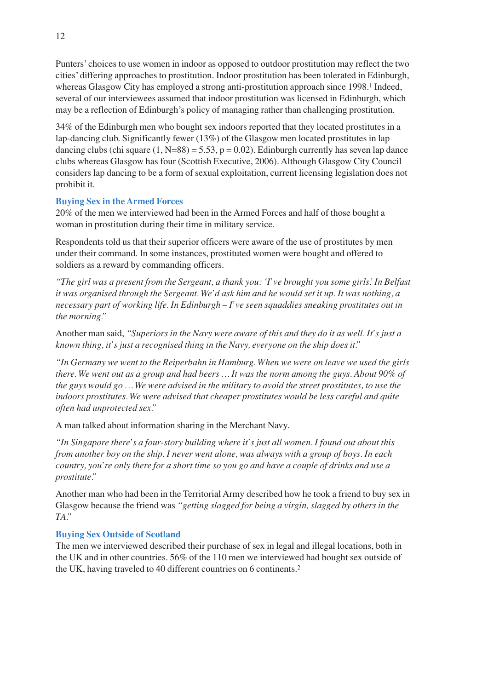Punters' choices to use women in indoor as opposed to outdoor prostitution may reflect the two cities' differing approaches to prostitution. Indoor prostitution has been tolerated in Edinburgh, whereas Glasgow City has employed a strong anti-prostitution approach since 1998.1 Indeed, several of our interviewees assumed that indoor prostitution was licensed in Edinburgh, which may be a reflection of Edinburgh's policy of managing rather than challenging prostitution.

34% of the Edinburgh men who bought sex indoors reported that they located prostitutes in a lap-dancing club. Significantly fewer (13%) of the Glasgow men located prostitutes in lap dancing clubs (chi square  $(1, N=88) = 5.53$ ,  $p = 0.02$ ). Edinburgh currently has seven lap dance clubs whereas Glasgow has four (Scottish Executive, 2006). Although Glasgow City Council considers lap dancing to be a form of sexual exploitation, current licensing legislation does not prohibit it.

### **Buying Sex in the Armed Forces**

20% of the men we interviewed had been in the Armed Forces and half of those bought a woman in prostitution during their time in military service.

Respondents told us that their superior officers were aware of the use of prostitutes by men under their command. In some instances, prostituted women were bought and offered to soldiers as a reward by commanding officers.

*"The girl was a present from the Sergeant, a thank you: 'I've brought you some girls.'In Belfast it was organised through the Sergeant. We'd ask him and he would set it up. It was nothing, a necessary part of working life. In Edinburgh – I've seen squaddies sneaking prostitutes out in the morning."*

Another man said, *"Superiors in the Navy were aware of this and they do it as well. It's just a known thing, it's just a recognised thing in the Navy, everyone on the ship does it."*

*"In Germany we went to the Reiperbahn in Hamburg. When we were on leave we used the girls there. We went out as a group and had beers … It was the norm among the guys. About 90% of the guys would go … We were advised in the military to avoid the street prostitutes, to use the indoors prostitutes. We were advised that cheaper prostitutes would be less careful and quite often had unprotected sex."*

A man talked about information sharing in the Merchant Navy.

*"In Singapore there's a four-story building where it's just all women. I found out about this from another boy on the ship. I never went alone, was always with a group of boys. In each country, you're only there for a short time so you go and have a couple of drinks and use a prostitute."*

Another man who had been in the Territorial Army described how he took a friend to buy sex in Glasgow because the friend was *"getting slagged for being a virgin, slagged by others in the TA."*

#### **Buying Sex Outside of Scotland**

The men we interviewed described their purchase of sex in legal and illegal locations, both in the UK and in other countries. 56% of the 110 men we interviewed had bought sex outside of the UK, having traveled to 40 different countries on 6 continents.2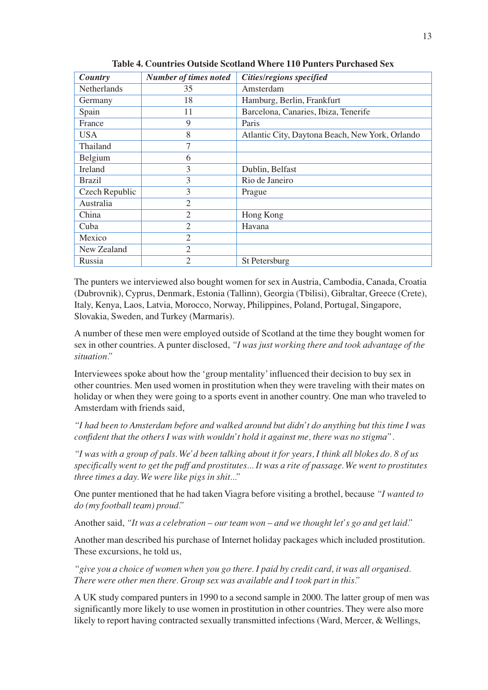| Country            | <b>Number of times noted</b> | Cities/regions specified                        |
|--------------------|------------------------------|-------------------------------------------------|
| <b>Netherlands</b> | 35                           | Amsterdam                                       |
| Germany            | 18                           | Hamburg, Berlin, Frankfurt                      |
| Spain              | 11                           | Barcelona, Canaries, Ibiza, Tenerife            |
| France             | 9                            | Paris                                           |
| <b>USA</b>         | 8                            | Atlantic City, Daytona Beach, New York, Orlando |
| Thailand           | $\overline{7}$               |                                                 |
| Belgium            | 6                            |                                                 |
| Ireland            | 3                            | Dublin, Belfast                                 |
| <b>Brazil</b>      | 3                            | Rio de Janeiro                                  |
| Czech Republic     | 3                            | Prague                                          |
| Australia          | 2                            |                                                 |
| China              | $\overline{2}$               | Hong Kong                                       |
| Cuba               | $\overline{2}$               | Havana                                          |
| Mexico             | $\overline{2}$               |                                                 |
| New Zealand        | $\overline{2}$               |                                                 |
| Russia             | $\overline{2}$               | <b>St Petersburg</b>                            |

**Table 4. Countries Outside Scotland Where 110 Punters Purchased Sex**

The punters we interviewed also bought women for sex in Austria, Cambodia, Canada, Croatia (Dubrovnik), Cyprus, Denmark, Estonia (Tallinn), Georgia (Tbilisi), Gibraltar, Greece (Crete), Italy, Kenya, Laos, Latvia, Morocco, Norway, Philippines, Poland, Portugal, Singapore, Slovakia, Sweden, and Turkey (Marmaris).

A number of these men were employed outside of Scotland at the time they bought women for sex in other countries. A punter disclosed, *"I was just working there and took advantage of the situation."*

Interviewees spoke about how the 'group mentality' influenced their decision to buy sex in other countries. Men used women in prostitution when they were traveling with their mates on holiday or when they were going to a sports event in another country. One man who traveled to Amsterdam with friends said,

*"I had been to Amsterdam before and walked around but didn't do anything but this time I was confident that the others I was with wouldn't hold it against me, there was no stigma".*

*"I was with a group of pals. We'd been talking about it for years, I think all blokes do. 8 of us specifically went to get the puff and prostitutes... It was a rite of passage. We went to prostitutes three times a day. We were like pigs in shit..."*

One punter mentioned that he had taken Viagra before visiting a brothel, because *"I wanted to do (my football team) proud."*

Another said, *"It was a celebration – our team won – and we thought let's go and get laid."*

Another man described his purchase of Internet holiday packages which included prostitution. These excursions, he told us,

*"give you a choice of women when you go there. I paid by credit card, it was all organised. There were other men there. Group sex was available and I took part in this."*

A UK study compared punters in 1990 to a second sample in 2000. The latter group of men was significantly more likely to use women in prostitution in other countries. They were also more likely to report having contracted sexually transmitted infections (Ward, Mercer, & Wellings,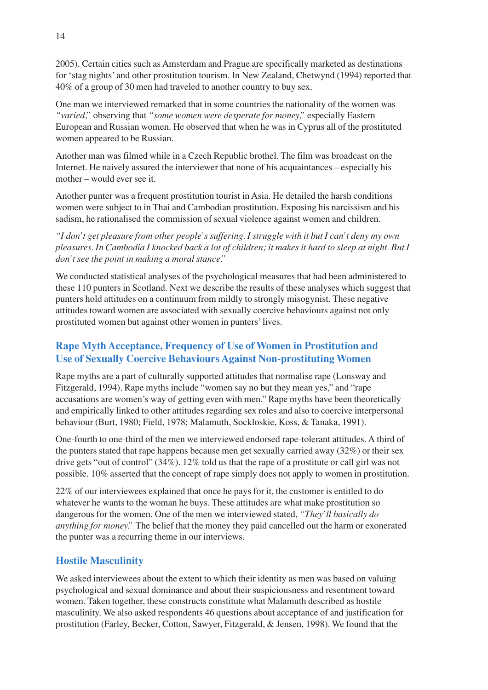2005). Certain cities such as Amsterdam and Prague are specifically marketed as destinations for 'stag nights' and other prostitution tourism. In New Zealand, Chetwynd (1994) reported that 40% of a group of 30 men had traveled to another country to buy sex.

One man we interviewed remarked that in some countries the nationality of the women was *"varied,"* observing that *"some women were desperate for money,"* especially Eastern European and Russian women. He observed that when he was in Cyprus all of the prostituted women appeared to be Russian.

Another man was filmed while in a Czech Republic brothel. The film was broadcast on the Internet. He naively assured the interviewer that none of his acquaintances – especially his mother – would ever see it.

Another punter was a frequent prostitution tourist in Asia. He detailed the harsh conditions women were subject to in Thai and Cambodian prostitution. Exposing his narcissism and his sadism, he rationalised the commission of sexual violence against women and children.

*"I don't get pleasure from other people's suffering. I struggle with it but I can't deny my own pleasures. In Cambodia I knocked back a lot of children; it makes it hard to sleep at night. But I don't see the point in making a moral stance."*

We conducted statistical analyses of the psychological measures that had been administered to these 110 punters in Scotland. Next we describe the results of these analyses which suggest that punters hold attitudes on a continuum from mildly to strongly misogynist. These negative attitudes toward women are associated with sexually coercive behaviours against not only prostituted women but against other women in punters' lives.

# **Rape Myth Acceptance, Frequency of Use of Women in Prostitution and Use of Sexually Coercive Behaviours Against Non-prostituting Women**

Rape myths are a part of culturally supported attitudes that normalise rape (Lonsway and Fitzgerald, 1994). Rape myths include "women say no but they mean yes," and "rape accusations are women's way of getting even with men." Rape myths have been theoretically and empirically linked to other attitudes regarding sex roles and also to coercive interpersonal behaviour (Burt, 1980; Field, 1978; Malamuth, Sockloskie, Koss, & Tanaka, 1991).

One-fourth to one-third of the men we interviewed endorsed rape-tolerant attitudes. A third of the punters stated that rape happens because men get sexually carried away (32%) or their sex drive gets "out of control" (34%). 12% told us that the rape of a prostitute or call girl was not possible. 10% asserted that the concept of rape simply does not apply to women in prostitution.

22% of our interviewees explained that once he pays for it, the customer is entitled to do whatever he wants to the woman he buys. These attitudes are what make prostitution so dangerous for the women. One of the men we interviewed stated, *"They'll basically do anything for money."* The belief that the money they paid cancelled out the harm or exonerated the punter was a recurring theme in our interviews.

# **Hostile Masculinity**

We asked interviewees about the extent to which their identity as men was based on valuing psychological and sexual dominance and about their suspiciousness and resentment toward women. Taken together, these constructs constitute what Malamuth described as hostile masculinity. We also asked respondents 46 questions about acceptance of and justification for prostitution (Farley, Becker, Cotton, Sawyer, Fitzgerald, & Jensen, 1998). We found that the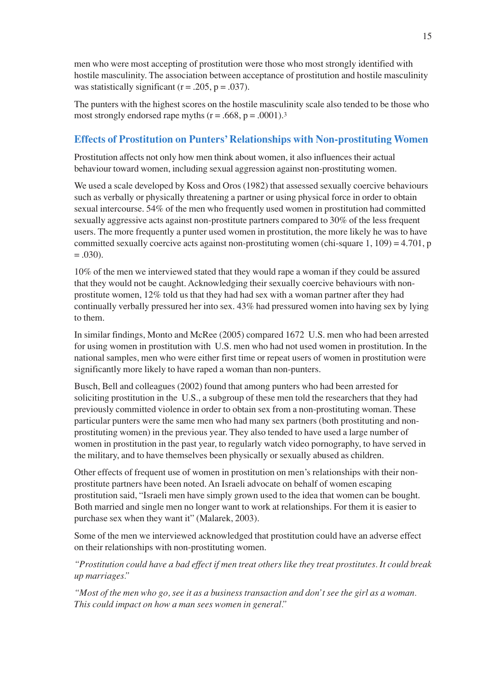men who were most accepting of prostitution were those who most strongly identified with hostile masculinity. The association between acceptance of prostitution and hostile masculinity was statistically significant ( $r = .205$ ,  $p = .037$ ).

The punters with the highest scores on the hostile masculinity scale also tended to be those who most strongly endorsed rape myths  $(r = .668, p = .0001).$ <sup>3</sup>

# **Effects of Prostitution on Punters' Relationships with Non-prostituting Women**

Prostitution affects not only how men think about women, it also influences their actual behaviour toward women, including sexual aggression against non-prostituting women.

We used a scale developed by Koss and Oros (1982) that assessed sexually coercive behaviours such as verbally or physically threatening a partner or using physical force in order to obtain sexual intercourse. 54% of the men who frequently used women in prostitution had committed sexually aggressive acts against non-prostitute partners compared to 30% of the less frequent users. The more frequently a punter used women in prostitution, the more likely he was to have committed sexually coercive acts against non-prostituting women (chi-square 1, 109) = 4.701, p  $= .030$ ).

10% of the men we interviewed stated that they would rape a woman if they could be assured that they would not be caught. Acknowledging their sexually coercive behaviours with nonprostitute women, 12% told us that they had had sex with a woman partner after they had continually verbally pressured her into sex. 43% had pressured women into having sex by lying to them.

In similar findings, Monto and McRee (2005) compared 1672 U.S. men who had been arrested for using women in prostitution with U.S. men who had not used women in prostitution. In the national samples, men who were either first time or repeat users of women in prostitution were significantly more likely to have raped a woman than non-punters.

Busch, Bell and colleagues (2002) found that among punters who had been arrested for soliciting prostitution in the U.S., a subgroup of these men told the researchers that they had previously committed violence in order to obtain sex from a non-prostituting woman. These particular punters were the same men who had many sex partners (both prostituting and nonprostituting women) in the previous year. They also tended to have used a large number of women in prostitution in the past year, to regularly watch video pornography, to have served in the military, and to have themselves been physically or sexually abused as children.

Other effects of frequent use of women in prostitution on men's relationships with their nonprostitute partners have been noted. An Israeli advocate on behalf of women escaping prostitution said, "Israeli men have simply grown used to the idea that women can be bought. Both married and single men no longer want to work at relationships. For them it is easier to purchase sex when they want it" (Malarek, 2003).

Some of the men we interviewed acknowledged that prostitution could have an adverse effect on their relationships with non-prostituting women.

*"Prostitution could have a bad effect if men treat others like they treat prostitutes. It could break up marriages."*

*"Most of the men who go, see it as a business transaction and don't see the girl as a woman. This could impact on how a man sees women in general."*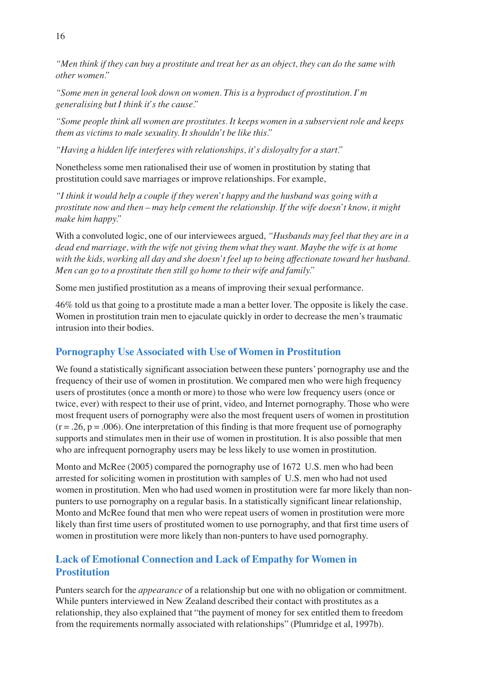*"Men think if they can buy a prostitute and treat her as an object, they can do the same with other women."*

*"Some men in general look down on women. This is a byproduct of prostitution. I'm generalising but I think it's the cause."*

*"Some people think all women are prostitutes. It keeps women in a subservient role and keeps them as victims to male sexuality. It shouldn't be like this."*

*"Having a hidden life interferes with relationships, it's disloyalty for a start."*

Nonetheless some men rationalised their use of women in prostitution by stating that prostitution could save marriages or improve relationships. For example,

*"I think it would help a couple if they weren't happy and the husband was going with a prostitute now and then – may help cement the relationship. If the wife doesn't know, it might make him happy."*

With a convoluted logic, one of our interviewees argued, *"Husbands may feel that they are in a dead end marriage, with the wife not giving them what they want. Maybe the wife is at home with the kids, working all day and she doesn't feel up to being affectionate toward her husband. Men can go to a prostitute then still go home to their wife and family."*

Some men justified prostitution as a means of improving their sexual performance.

46% told us that going to a prostitute made a man a better lover. The opposite is likely the case. Women in prostitution train men to ejaculate quickly in order to decrease the men's traumatic intrusion into their bodies.

# **Pornography Use Associated with Use of Women in Prostitution**

We found a statistically significant association between these punters' pornography use and the frequency of their use of women in prostitution. We compared men who were high frequency users of prostitutes (once a month or more) to those who were low frequency users (once or twice, ever) with respect to their use of print, video, and Internet pornography. Those who were most frequent users of pornography were also the most frequent users of women in prostitution  $(r = .26, p = .006)$ . One interpretation of this finding is that more frequent use of pornography supports and stimulates men in their use of women in prostitution. It is also possible that men who are infrequent pornography users may be less likely to use women in prostitution.

Monto and McRee (2005) compared the pornography use of 1672 U.S. men who had been arrested for soliciting women in prostitution with samples of U.S. men who had not used women in prostitution. Men who had used women in prostitution were far more likely than nonpunters to use pornography on a regular basis. In a statistically significant linear relationship, Monto and McRee found that men who were repeat users of women in prostitution were more likely than first time users of prostituted women to use pornography, and that first time users of women in prostitution were more likely than non-punters to have used pornography.

# **Lack of Emotional Connection and Lack of Empathy for Women in Prostitution**

Punters search for the *appearance* of a relationship but one with no obligation or commitment. While punters interviewed in New Zealand described their contact with prostitutes as a relationship, they also explained that "the payment of money for sex entitled them to freedom from the requirements normally associated with relationships" (Plumridge et al, 1997b).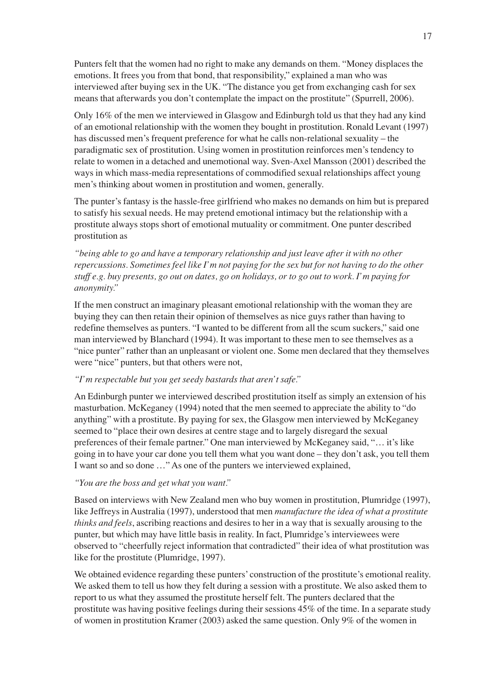Punters felt that the women had no right to make any demands on them. "Money displaces the emotions. It frees you from that bond, that responsibility," explained a man who was interviewed after buying sex in the UK. "The distance you get from exchanging cash for sex means that afterwards you don't contemplate the impact on the prostitute" (Spurrell, 2006).

Only 16% of the men we interviewed in Glasgow and Edinburgh told us that they had any kind of an emotional relationship with the women they bought in prostitution. Ronald Levant (1997) has discussed men's frequent preference for what he calls non-relational sexuality – the paradigmatic sex of prostitution. Using women in prostitution reinforces men's tendency to relate to women in a detached and unemotional way. Sven-Axel Mansson (2001) described the ways in which mass-media representations of commodified sexual relationships affect young men's thinking about women in prostitution and women, generally.

The punter's fantasy is the hassle-free girlfriend who makes no demands on him but is prepared to satisfy his sexual needs. He may pretend emotional intimacy but the relationship with a prostitute always stops short of emotional mutuality or commitment. One punter described prostitution as

*"being able to go and have a temporary relationship and just leave after it with no other repercussions. Sometimes feel like I'm not paying for the sex but for not having to do the other stuff e.g. buy presents, go out on dates, go on holidays, or to go out to work. I'm paying for anonymity."*

If the men construct an imaginary pleasant emotional relationship with the woman they are buying they can then retain their opinion of themselves as nice guys rather than having to redefine themselves as punters. "I wanted to be different from all the scum suckers," said one man interviewed by Blanchard (1994). It was important to these men to see themselves as a "nice punter" rather than an unpleasant or violent one. Some men declared that they themselves were "nice" punters, but that others were not,

#### *"I'm respectable but you get seedy bastards that aren't safe."*

An Edinburgh punter we interviewed described prostitution itself as simply an extension of his masturbation. McKeganey (1994) noted that the men seemed to appreciate the ability to "do anything" with a prostitute. By paying for sex, the Glasgow men interviewed by McKeganey seemed to "place their own desires at centre stage and to largely disregard the sexual preferences of their female partner." One man interviewed by McKeganey said, "… it's like going in to have your car done you tell them what you want done – they don't ask, you tell them I want so and so done …" As one of the punters we interviewed explained,

#### *"You are the boss and get what you want."*

Based on interviews with New Zealand men who buy women in prostitution, Plumridge (1997), like Jeffreys in Australia (1997), understood that men *manufacture the idea of what a prostitute thinks and feels*, ascribing reactions and desires to her in a way that is sexually arousing to the punter, but which may have little basis in reality. In fact, Plumridge's interviewees were observed to "cheerfully reject information that contradicted" their idea of what prostitution was like for the prostitute (Plumridge, 1997).

We obtained evidence regarding these punters' construction of the prostitute's emotional reality. We asked them to tell us how they felt during a session with a prostitute. We also asked them to report to us what they assumed the prostitute herself felt. The punters declared that the prostitute was having positive feelings during their sessions 45% of the time. In a separate study of women in prostitution Kramer (2003) asked the same question. Only 9% of the women in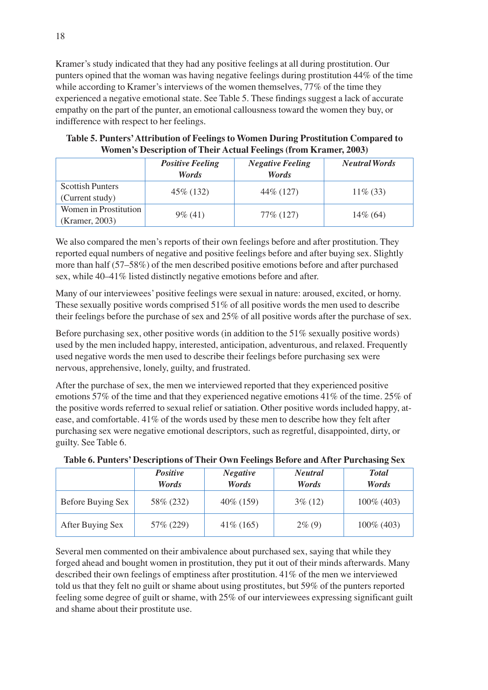Kramer's study indicated that they had any positive feelings at all during prostitution. Our punters opined that the woman was having negative feelings during prostitution 44% of the time while according to Kramer's interviews of the women themselves,  $77\%$  of the time they experienced a negative emotional state. See Table 5. These findings suggest a lack of accurate empathy on the part of the punter, an emotional callousness toward the women they buy, or indifference with respect to her feelings.

**Table 5. Punters'Attribution of Feelings to Women During Prostitution Compared to Women's Description of Their Actual Feelings (from Kramer, 2003)**

|                         | <b>Positive Feeling</b> |              | <b>Neutral Words</b> |  |
|-------------------------|-------------------------|--------------|----------------------|--|
|                         | Words                   | <b>Words</b> |                      |  |
| <b>Scottish Punters</b> | 45\% (132)              | 44\% (127)   | $11\%$ (33)          |  |
| (Current study)         |                         |              |                      |  |
| Women in Prostitution   | $9\%$ (41)              | 77\% (127)   | $14\%$ (64)          |  |
| (Kramer, 2003)          |                         |              |                      |  |

We also compared the men's reports of their own feelings before and after prostitution. They reported equal numbers of negative and positive feelings before and after buying sex. Slightly more than half (57–58%) of the men described positive emotions before and after purchased sex, while 40–41% listed distinctly negative emotions before and after.

Many of our interviewees' positive feelings were sexual in nature: aroused, excited, or horny. These sexually positive words comprised 51% of all positive words the men used to describe their feelings before the purchase of sex and 25% of all positive words after the purchase of sex.

Before purchasing sex, other positive words (in addition to the 51% sexually positive words) used by the men included happy, interested, anticipation, adventurous, and relaxed. Frequently used negative words the men used to describe their feelings before purchasing sex were nervous, apprehensive, lonely, guilty, and frustrated.

After the purchase of sex, the men we interviewed reported that they experienced positive emotions 57% of the time and that they experienced negative emotions 41% of the time. 25% of the positive words referred to sexual relief or satiation. Other positive words included happy, atease, and comfortable. 41% of the words used by these men to describe how they felt after purchasing sex were negative emotional descriptors, such as regretful, disappointed, dirty, or guilty. See Table 6.

|                   | <b>Positive</b><br>Words | <b>Negative</b><br>Words | <b>Neutral</b><br>Words | <b>Total</b><br>Words |
|-------------------|--------------------------|--------------------------|-------------------------|-----------------------|
| Before Buying Sex | 58\% (232)               | $40\%$ (159)             | $3\%$ (12)              | 100% (403)            |
| After Buying Sex  | 57\% (229)               | $41\%$ (165)             | $2\%$ (9)               | 100% (403)            |

**Table 6. Punters' Descriptions of Their Own Feelings Before and After Purchasing Sex**

Several men commented on their ambivalence about purchased sex, saying that while they forged ahead and bought women in prostitution, they put it out of their minds afterwards. Many described their own feelings of emptiness after prostitution. 41% of the men we interviewed told us that they felt no guilt or shame about using prostitutes, but 59% of the punters reported feeling some degree of guilt or shame, with 25% of our interviewees expressing significant guilt and shame about their prostitute use.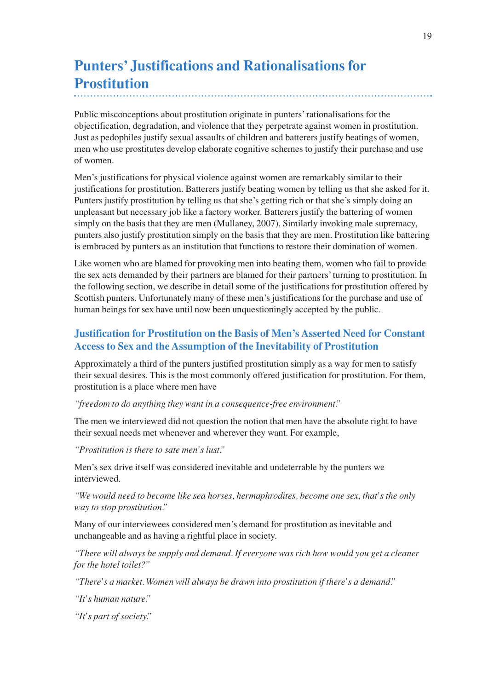# **Punters' Justifications and Rationalisations for Prostitution**

Public misconceptions about prostitution originate in punters' rationalisations for the objectification, degradation, and violence that they perpetrate against women in prostitution. Just as pedophiles justify sexual assaults of children and batterers justify beatings of women, men who use prostitutes develop elaborate cognitive schemes to justify their purchase and use of women.

Men's justifications for physical violence against women are remarkably similar to their justifications for prostitution. Batterers justify beating women by telling us that she asked for it. Punters justify prostitution by telling us that she's getting rich or that she's simply doing an unpleasant but necessary job like a factory worker. Batterers justify the battering of women simply on the basis that they are men (Mullaney, 2007). Similarly invoking male supremacy, punters also justify prostitution simply on the basis that they are men. Prostitution like battering is embraced by punters as an institution that functions to restore their domination of women.

Like women who are blamed for provoking men into beating them, women who fail to provide the sex acts demanded by their partners are blamed for their partners' turning to prostitution. In the following section, we describe in detail some of the justifications for prostitution offered by Scottish punters. Unfortunately many of these men's justifications for the purchase and use of human beings for sex have until now been unquestioningly accepted by the public.

# **Justification for Prostitution on the Basis of Men's Asserted Need for Constant Access to Sex and the Assumption of the Inevitability of Prostitution**

Approximately a third of the punters justified prostitution simply as a way for men to satisfy their sexual desires. This is the most commonly offered justification for prostitution. For them, prostitution is a place where men have

### *"freedom to do anything they want in a consequence-free environment."*

The men we interviewed did not question the notion that men have the absolute right to have their sexual needs met whenever and wherever they want. For example,

*"Prostitution is there to sate men's lust."*

Men's sex drive itself was considered inevitable and undeterrable by the punters we interviewed.

*"We would need to become like sea horses, hermaphrodites, become one sex, that's the only way to stop prostitution."*

Many of our interviewees considered men's demand for prostitution as inevitable and unchangeable and as having a rightful place in society.

*"There will always be supply and demand. If everyone was rich how would you get a cleaner for the hotel toilet?"*

*"There's a market. Women will always be drawn into prostitution if there's a demand."*

*"It's human nature."*

*"It's part of society."*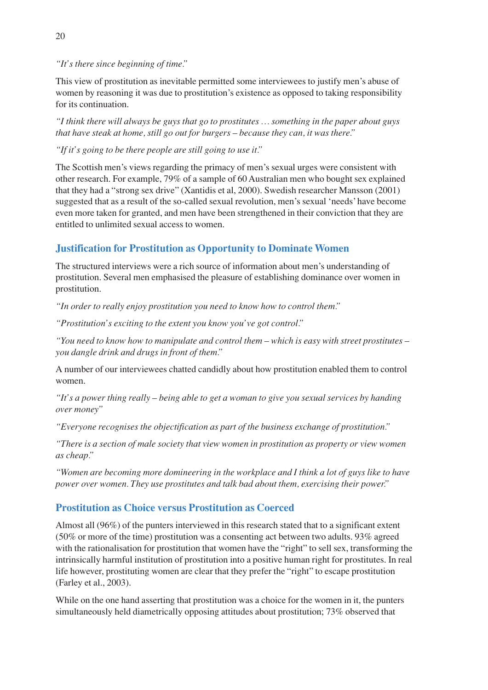*"It's there since beginning of time."*

This view of prostitution as inevitable permitted some interviewees to justify men's abuse of women by reasoning it was due to prostitution's existence as opposed to taking responsibility for its continuation.

*"I think there will always be guys that go to prostitutes … something in the paper about guys that have steak at home, still go out for burgers – because they can, it was there."*

*"If it's going to be there people are still going to use it."*

The Scottish men's views regarding the primacy of men's sexual urges were consistent with other research. For example, 79% of a sample of 60 Australian men who bought sex explained that they had a "strong sex drive" (Xantidis et al, 2000). Swedish researcher Mansson (2001) suggested that as a result of the so-called sexual revolution, men's sexual 'needs' have become even more taken for granted, and men have been strengthened in their conviction that they are entitled to unlimited sexual access to women.

# **Justification for Prostitution as Opportunity to Dominate Women**

The structured interviews were a rich source of information about men's understanding of prostitution. Several men emphasised the pleasure of establishing dominance over women in prostitution.

*"In order to really enjoy prostitution you need to know how to control them."*

*"Prostitution's exciting to the extent you know you've got control."*

*"You need to know how to manipulate and control them – which is easy with street prostitutes – you dangle drink and drugs in front of them."*

A number of our interviewees chatted candidly about how prostitution enabled them to control women.

*"It's a power thing really – being able to get a woman to give you sexual services by handing over money"*

*"Everyone recognises the objectification as part of the business exchange of prostitution."*

*"There is a section of male society that view women in prostitution as property or view women as cheap."*

*"Women are becoming more domineering in the workplace and I think a lot of guys like to have power over women. They use prostitutes and talk bad about them, exercising their power."*

# **Prostitution as Choice versus Prostitution as Coerced**

Almost all (96%) of the punters interviewed in this research stated that to a significant extent (50% or more of the time) prostitution was a consenting act between two adults. 93% agreed with the rationalisation for prostitution that women have the "right" to sell sex, transforming the intrinsically harmful institution of prostitution into a positive human right for prostitutes. In real life however, prostituting women are clear that they prefer the "right" to escape prostitution (Farley et al., 2003).

While on the one hand asserting that prostitution was a choice for the women in it, the punters simultaneously held diametrically opposing attitudes about prostitution; 73% observed that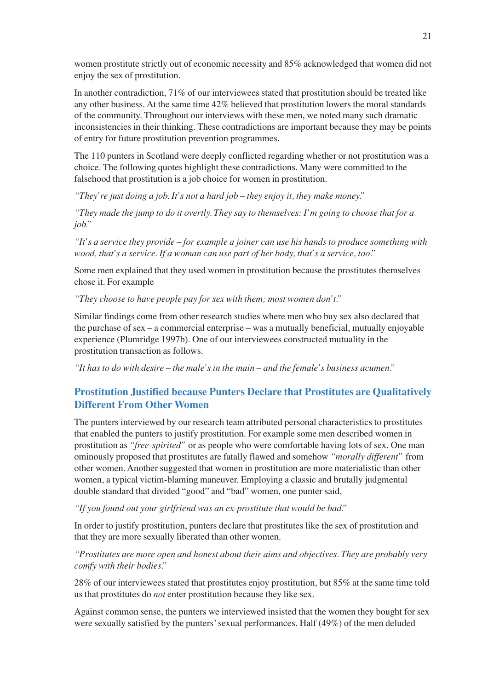women prostitute strictly out of economic necessity and 85% acknowledged that women did not enjoy the sex of prostitution.

In another contradiction, 71% of our interviewees stated that prostitution should be treated like any other business. At the same time 42% believed that prostitution lowers the moral standards of the community. Throughout our interviews with these men, we noted many such dramatic inconsistencies in their thinking. These contradictions are important because they may be points of entry for future prostitution prevention programmes.

The 110 punters in Scotland were deeply conflicted regarding whether or not prostitution was a choice. The following quotes highlight these contradictions. Many were committed to the falsehood that prostitution is a job choice for women in prostitution.

*"They're just doing a job. It's not a hard job – they enjoy it, they make money."*

*"They made the jump to do it overtly. They say to themselves: I'm going to choose that for a job."*

*"It's a service they provide – for example a joiner can use his hands to produce something with wood, that's a service. If a woman can use part of her body, that's a service, too."*

Some men explained that they used women in prostitution because the prostitutes themselves chose it. For example

*"They choose to have people pay for sex with them; most women don't."*

Similar findings come from other research studies where men who buy sex also declared that the purchase of sex – a commercial enterprise – was a mutually beneficial, mutually enjoyable experience (Plumridge 1997b). One of our interviewees constructed mutuality in the prostitution transaction as follows.

*"It has to do with desire – the male's in the main – and the female's business acumen."*

# **Prostitution Justified because Punters Declare that Prostitutes are Qualitatively Different From Other Women**

The punters interviewed by our research team attributed personal characteristics to prostitutes that enabled the punters to justify prostitution. For example some men described women in prostitution as *"free-spirited"* or as people who were comfortable having lots of sex. One man ominously proposed that prostitutes are fatally flawed and somehow *"morally different"* from other women. Another suggested that women in prostitution are more materialistic than other women, a typical victim-blaming maneuver. Employing a classic and brutally judgmental double standard that divided "good" and "bad" women, one punter said,

*"If you found out your girlfriend was an ex-prostitute that would be bad."*

In order to justify prostitution, punters declare that prostitutes like the sex of prostitution and that they are more sexually liberated than other women.

*"Prostitutes are more open and honest about their aims and objectives. They are probably very comfy with their bodies."*

28% of our interviewees stated that prostitutes enjoy prostitution, but 85% at the same time told us that prostitutes do *not* enter prostitution because they like sex.

Against common sense, the punters we interviewed insisted that the women they bought for sex were sexually satisfied by the punters' sexual performances. Half (49%) of the men deluded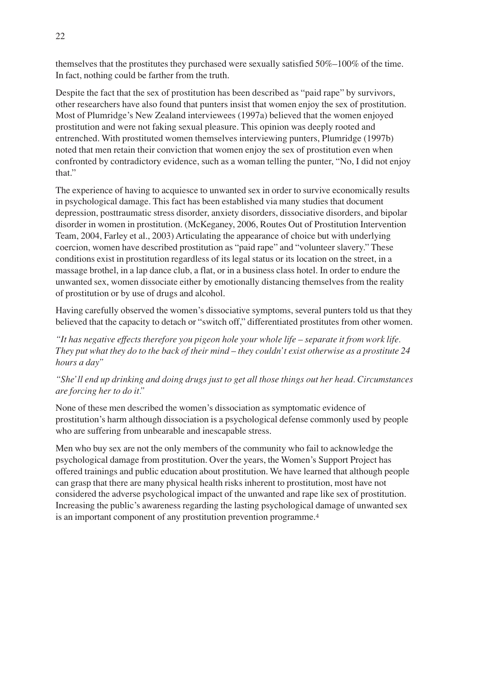themselves that the prostitutes they purchased were sexually satisfied 50%–100% of the time. In fact, nothing could be farther from the truth.

Despite the fact that the sex of prostitution has been described as "paid rape" by survivors, other researchers have also found that punters insist that women enjoy the sex of prostitution. Most of Plumridge's New Zealand interviewees (1997a) believed that the women enjoyed prostitution and were not faking sexual pleasure. This opinion was deeply rooted and entrenched. With prostituted women themselves interviewing punters, Plumridge (1997b) noted that men retain their conviction that women enjoy the sex of prostitution even when confronted by contradictory evidence, such as a woman telling the punter, "No, I did not enjoy that."

The experience of having to acquiesce to unwanted sex in order to survive economically results in psychological damage. This fact has been established via many studies that document depression, posttraumatic stress disorder, anxiety disorders, dissociative disorders, and bipolar disorder in women in prostitution. (McKeganey, 2006, Routes Out of Prostitution Intervention Team, 2004, Farley et al., 2003) Articulating the appearance of choice but with underlying coercion, women have described prostitution as "paid rape" and "volunteer slavery." These conditions exist in prostitution regardless of its legal status or its location on the street, in a massage brothel, in a lap dance club, a flat, or in a business class hotel. In order to endure the unwanted sex, women dissociate either by emotionally distancing themselves from the reality of prostitution or by use of drugs and alcohol.

Having carefully observed the women's dissociative symptoms, several punters told us that they believed that the capacity to detach or "switch off," differentiated prostitutes from other women.

*"It has negative effects therefore you pigeon hole your whole life – separate it from work life. They put what they do to the back of their mind – they couldn't exist otherwise as a prostitute 24 hours a day"*

*"She'll end up drinking and doing drugs just to get all those things out her head. Circumstances are forcing her to do it."*

None of these men described the women's dissociation as symptomatic evidence of prostitution's harm although dissociation is a psychological defense commonly used by people who are suffering from unbearable and inescapable stress.

Men who buy sex are not the only members of the community who fail to acknowledge the psychological damage from prostitution. Over the years, the Women's Support Project has offered trainings and public education about prostitution. We have learned that although people can grasp that there are many physical health risks inherent to prostitution, most have not considered the adverse psychological impact of the unwanted and rape like sex of prostitution. Increasing the public's awareness regarding the lasting psychological damage of unwanted sex is an important component of any prostitution prevention programme.4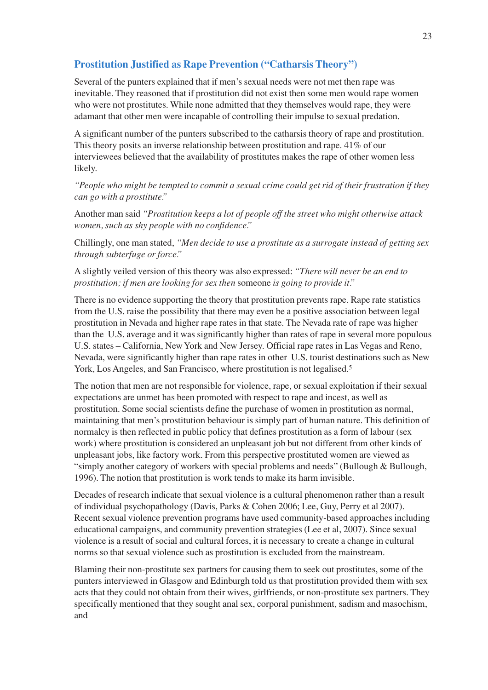# **Prostitution Justified as Rape Prevention ("Catharsis Theory")**

Several of the punters explained that if men's sexual needs were not met then rape was inevitable. They reasoned that if prostitution did not exist then some men would rape women who were not prostitutes. While none admitted that they themselves would rape, they were adamant that other men were incapable of controlling their impulse to sexual predation.

A significant number of the punters subscribed to the catharsis theory of rape and prostitution. This theory posits an inverse relationship between prostitution and rape. 41% of our interviewees believed that the availability of prostitutes makes the rape of other women less likely.

*"People who might be tempted to commit a sexual crime could get rid of their frustration if they can go with a prostitute."*

Another man said *"Prostitution keeps a lot of people off the street who might otherwise attack women, such as shy people with no confidence."*

Chillingly, one man stated, *"Men decide to use a prostitute as a surrogate instead of getting sex through subterfuge or force."*

A slightly veiled version of this theory was also expressed: *"There will never be an end to prostitution; if men are looking for sex then* someone *is going to provide it."*

There is no evidence supporting the theory that prostitution prevents rape. Rape rate statistics from the U.S. raise the possibility that there may even be a positive association between legal prostitution in Nevada and higher rape rates in that state. The Nevada rate of rape was higher than the U.S. average and it was significantly higher than rates of rape in several more populous U.S. states – California, New York and New Jersey. Official rape rates in Las Vegas and Reno, Nevada, were significantly higher than rape rates in other U.S. tourist destinations such as New York, Los Angeles, and San Francisco, where prostitution is not legalised.5

The notion that men are not responsible for violence, rape, or sexual exploitation if their sexual expectations are unmet has been promoted with respect to rape and incest, as well as prostitution. Some social scientists define the purchase of women in prostitution as normal, maintaining that men's prostitution behaviour is simply part of human nature. This definition of normalcy is then reflected in public policy that defines prostitution as a form of labour (sex work) where prostitution is considered an unpleasant job but not different from other kinds of unpleasant jobs, like factory work. From this perspective prostituted women are viewed as "simply another category of workers with special problems and needs" (Bullough & Bullough, 1996). The notion that prostitution is work tends to make its harm invisible.

Decades of research indicate that sexual violence is a cultural phenomenon rather than a result of individual psychopathology (Davis, Parks & Cohen 2006; Lee, Guy, Perry et al 2007). Recent sexual violence prevention programs have used community-based approaches including educational campaigns, and community prevention strategies (Lee et al, 2007). Since sexual violence is a result of social and cultural forces, it is necessary to create a change in cultural norms so that sexual violence such as prostitution is excluded from the mainstream.

Blaming their non-prostitute sex partners for causing them to seek out prostitutes, some of the punters interviewed in Glasgow and Edinburgh told us that prostitution provided them with sex acts that they could not obtain from their wives, girlfriends, or non-prostitute sex partners. They specifically mentioned that they sought anal sex, corporal punishment, sadism and masochism, and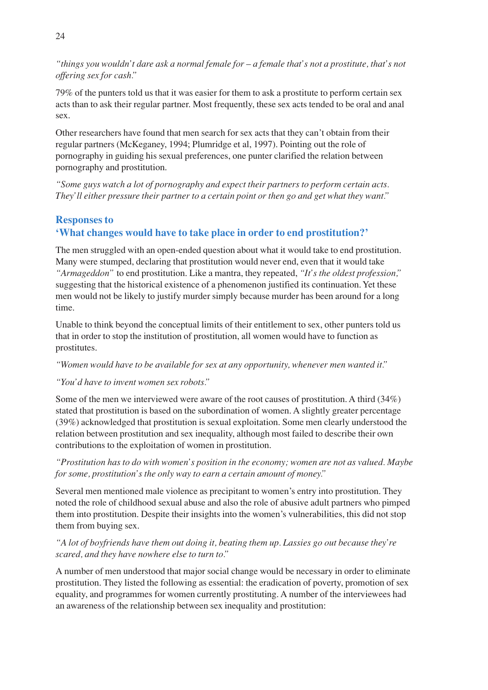*"things you wouldn't dare ask a normal female for – a female that's not a prostitute, that's not offering sex for cash."*

79% of the punters told us that it was easier for them to ask a prostitute to perform certain sex acts than to ask their regular partner. Most frequently, these sex acts tended to be oral and anal sex.

Other researchers have found that men search for sex acts that they can't obtain from their regular partners (McKeganey, 1994; Plumridge et al, 1997). Pointing out the role of pornography in guiding his sexual preferences, one punter clarified the relation between pornography and prostitution.

*"Some guys watch a lot of pornography and expect their partners to perform certain acts. They'll either pressure their partner to a certain point or then go and get what they want."*

## **Responses to 'What changes would have to take place in order to end prostitution?'**

The men struggled with an open-ended question about what it would take to end prostitution. Many were stumped, declaring that prostitution would never end, even that it would take *"Armageddon"* to end prostitution. Like a mantra, they repeated, *"It's the oldest profession,"* suggesting that the historical existence of a phenomenon justified its continuation. Yet these men would not be likely to justify murder simply because murder has been around for a long time.

Unable to think beyond the conceptual limits of their entitlement to sex, other punters told us that in order to stop the institution of prostitution, all women would have to function as prostitutes.

*"Women would have to be available for sex at any opportunity, whenever men wanted it."*

#### *"You'd have to invent women sex robots."*

Some of the men we interviewed were aware of the root causes of prostitution. A third (34%) stated that prostitution is based on the subordination of women. A slightly greater percentage (39%) acknowledged that prostitution is sexual exploitation. Some men clearly understood the relation between prostitution and sex inequality, although most failed to describe their own contributions to the exploitation of women in prostitution.

*"Prostitution has to do with women's position in the economy; women are not as valued. Maybe for some, prostitution's the only way to earn a certain amount of money."*

Several men mentioned male violence as precipitant to women's entry into prostitution. They noted the role of childhood sexual abuse and also the role of abusive adult partners who pimped them into prostitution. Despite their insights into the women's vulnerabilities, this did not stop them from buying sex.

#### *"A lot of boyfriends have them out doing it, beating them up. Lassies go out because they're scared, and they have nowhere else to turn to."*

A number of men understood that major social change would be necessary in order to eliminate prostitution. They listed the following as essential: the eradication of poverty, promotion of sex equality, and programmes for women currently prostituting. A number of the interviewees had an awareness of the relationship between sex inequality and prostitution: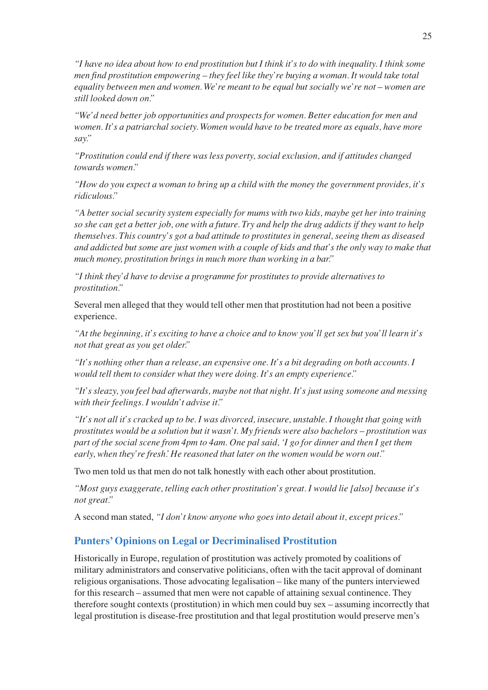*"I have no idea about how to end prostitution but I think it's to do with inequality. I think some men find prostitution empowering – they feel like they're buying a woman. It would take total equality between men and women. We're meant to be equal but socially we're not – women are still looked down on."*

*"We'd need better job opportunities and prospects for women. Better education for men and women. It's a patriarchal society. Women would have to be treated more as equals, have more say."*

*"Prostitution could end if there was less poverty, social exclusion, and if attitudes changed towards women."*

*"How do you expect a woman to bring up a child with the money the government provides, it's ridiculous."*

*"A better social security system especially for mums with two kids, maybe get her into training so she can get a better job, one with a future. Try and help the drug addicts if they want to help themselves. This country's got a bad attitude to prostitutes in general, seeing them as diseased and addicted but some are just women with a couple of kids and that's the only way to make that much money, prostitution brings in much more than working in a bar."*

*"I think they'd have to devise a programme for prostitutes to provide alternatives to prostitution."*

Several men alleged that they would tell other men that prostitution had not been a positive experience.

*"At the beginning, it's exciting to have a choice and to know you'll get sex but you'll learn it's not that great as you get older."*

*"It's nothing other than a release, an expensive one. It's a bit degrading on both accounts. I would tell them to consider what they were doing. It's an empty experience."*

*"It's sleazy, you feel bad afterwards, maybe not that night. It's just using someone and messing with their feelings. I wouldn't advise it."*

*"It's not all it's cracked up to be. I was divorced, insecure, unstable. I thought that going with prostitutes would be a solution but it wasn't. My friends were also bachelors – prostitution was part of the social scene from 4pm to 4am. One pal said, 'I go for dinner and then I get them early, when they're fresh.'He reasoned that later on the women would be worn out."*

Two men told us that men do not talk honestly with each other about prostitution.

*"Most guys exaggerate, telling each other prostitution's great. I would lie [also] because it's not great."*

A second man stated, *"I don't know anyone who goes into detail about it, except prices."*

#### **Punters' Opinions on Legal or Decriminalised Prostitution**

Historically in Europe, regulation of prostitution was actively promoted by coalitions of military administrators and conservative politicians, often with the tacit approval of dominant religious organisations. Those advocating legalisation – like many of the punters interviewed for this research – assumed that men were not capable of attaining sexual continence. They therefore sought contexts (prostitution) in which men could buy sex – assuming incorrectly that legal prostitution is disease-free prostitution and that legal prostitution would preserve men's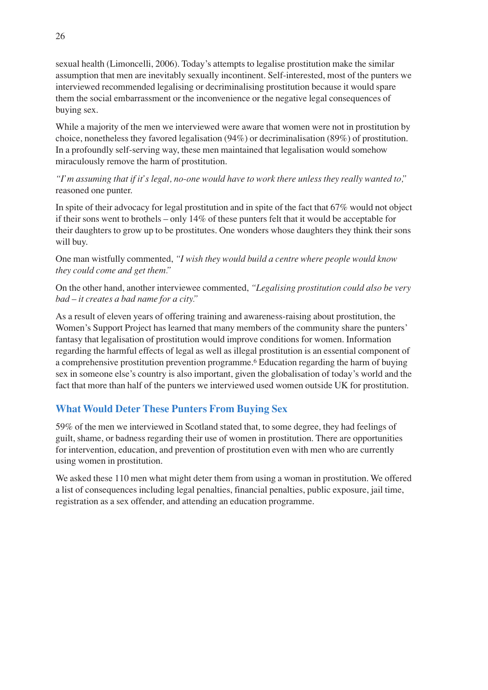sexual health (Limoncelli, 2006). Today's attempts to legalise prostitution make the similar assumption that men are inevitably sexually incontinent. Self-interested, most of the punters we interviewed recommended legalising or decriminalising prostitution because it would spare them the social embarrassment or the inconvenience or the negative legal consequences of buying sex.

While a majority of the men we interviewed were aware that women were not in prostitution by choice, nonetheless they favored legalisation (94%) or decriminalisation (89%) of prostitution. In a profoundly self-serving way, these men maintained that legalisation would somehow miraculously remove the harm of prostitution.

*"I'm assuming that if it's legal, no-one would have to work there unless they really wanted to,"* reasoned one punter.

In spite of their advocacy for legal prostitution and in spite of the fact that 67% would not object if their sons went to brothels – only 14% of these punters felt that it would be acceptable for their daughters to grow up to be prostitutes. One wonders whose daughters they think their sons will buy.

One man wistfully commented, *"I wish they would build a centre where people would know they could come and get them."*

On the other hand, another interviewee commented, *"Legalising prostitution could also be very bad – it creates a bad name for a city."*

As a result of eleven years of offering training and awareness-raising about prostitution, the Women's Support Project has learned that many members of the community share the punters' fantasy that legalisation of prostitution would improve conditions for women. Information regarding the harmful effects of legal as well as illegal prostitution is an essential component of a comprehensive prostitution prevention programme.6 Education regarding the harm of buying sex in someone else's country is also important, given the globalisation of today's world and the fact that more than half of the punters we interviewed used women outside UK for prostitution.

# **What Would Deter These Punters From Buying Sex**

59% of the men we interviewed in Scotland stated that, to some degree, they had feelings of guilt, shame, or badness regarding their use of women in prostitution. There are opportunities for intervention, education, and prevention of prostitution even with men who are currently using women in prostitution.

We asked these 110 men what might deter them from using a woman in prostitution. We offered a list of consequences including legal penalties, financial penalties, public exposure, jail time, registration as a sex offender, and attending an education programme.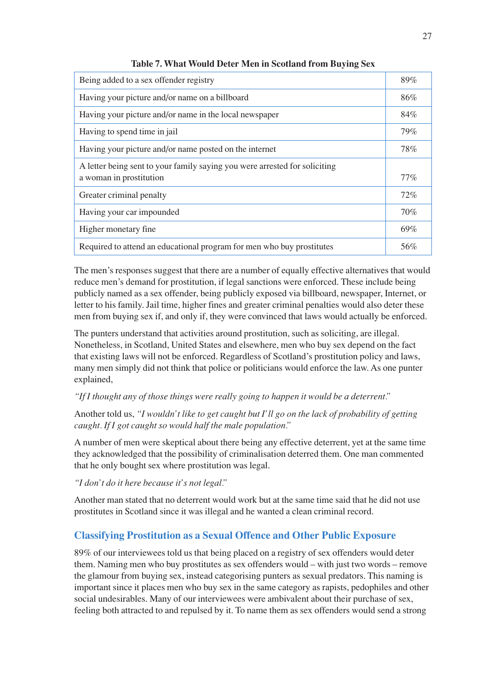| Being added to a sex offender registry                                                                | 89%    |
|-------------------------------------------------------------------------------------------------------|--------|
| Having your picture and/or name on a billboard                                                        | 86%    |
| Having your picture and/or name in the local newspaper                                                | 84%    |
| Having to spend time in jail                                                                          | 79%    |
| Having your picture and/or name posted on the internet                                                | 78%    |
| A letter being sent to your family saying you were arrested for soliciting<br>a woman in prostitution | $77\%$ |
| Greater criminal penalty                                                                              | 72%    |
| Having your car impounded                                                                             | 70%    |
| Higher monetary fine                                                                                  | 69%    |
| Required to attend an educational program for men who buy prostitutes                                 | 56%    |

**Table 7. What Would Deter Men in Scotland from Buying Sex**

The men's responses suggest that there are a number of equally effective alternatives that would reduce men's demand for prostitution, if legal sanctions were enforced. These include being publicly named as a sex offender, being publicly exposed via billboard, newspaper, Internet, or letter to his family. Jail time, higher fines and greater criminal penalties would also deter these men from buying sex if, and only if, they were convinced that laws would actually be enforced.

The punters understand that activities around prostitution, such as soliciting, are illegal. Nonetheless, in Scotland, United States and elsewhere, men who buy sex depend on the fact that existing laws will not be enforced. Regardless of Scotland's prostitution policy and laws, many men simply did not think that police or politicians would enforce the law. As one punter explained,

#### *"If I thought any of those things were really going to happen it would be a deterrent."*

Another told us, *"I wouldn't like to get caught but I'll go on the lack of probability of getting caught. If I got caught so would half the male population."*

A number of men were skeptical about there being any effective deterrent, yet at the same time they acknowledged that the possibility of criminalisation deterred them. One man commented that he only bought sex where prostitution was legal.

*"I don't do it here because it's not legal."*

Another man stated that no deterrent would work but at the same time said that he did not use prostitutes in Scotland since it was illegal and he wanted a clean criminal record.

# **Classifying Prostitution as a Sexual Offence and Other Public Exposure**

89% of our interviewees told us that being placed on a registry of sex offenders would deter them. Naming men who buy prostitutes as sex offenders would – with just two words – remove the glamour from buying sex, instead categorising punters as sexual predators. This naming is important since it places men who buy sex in the same category as rapists, pedophiles and other social undesirables. Many of our interviewees were ambivalent about their purchase of sex, feeling both attracted to and repulsed by it. To name them as sex offenders would send a strong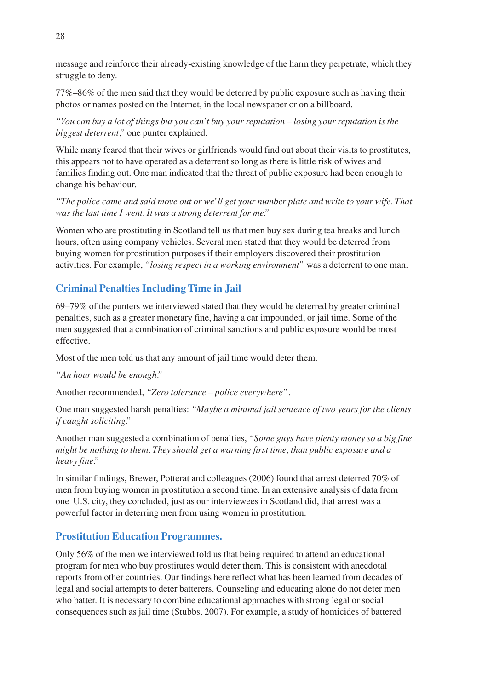message and reinforce their already-existing knowledge of the harm they perpetrate, which they struggle to deny.

77%–86% of the men said that they would be deterred by public exposure such as having their photos or names posted on the Internet, in the local newspaper or on a billboard.

*"You can buy a lot of things but you can't buy your reputation – losing your reputation is the biggest deterrent,"* one punter explained.

While many feared that their wives or girlfriends would find out about their visits to prostitutes, this appears not to have operated as a deterrent so long as there is little risk of wives and families finding out. One man indicated that the threat of public exposure had been enough to change his behaviour.

*"The police came and said move out or we'll get your number plate and write to your wife. That was the last time I went. It was a strong deterrent for me."*

Women who are prostituting in Scotland tell us that men buy sex during tea breaks and lunch hours, often using company vehicles. Several men stated that they would be deterred from buying women for prostitution purposes if their employers discovered their prostitution activities. For example, *"losing respect in a working environment"* was a deterrent to one man.

# **Criminal Penalties Including Time in Jail**

69–79% of the punters we interviewed stated that they would be deterred by greater criminal penalties, such as a greater monetary fine, having a car impounded, or jail time. Some of the men suggested that a combination of criminal sanctions and public exposure would be most effective.

Most of the men told us that any amount of jail time would deter them.

*"An hour would be enough."*

Another recommended, *"Zero tolerance – police everywhere"*.

One man suggested harsh penalties: *"Maybe a minimal jail sentence of two years for the clients if caught soliciting."*

Another man suggested a combination of penalties, *"Some guys have plenty money so a big fine might be nothing to them. They should get a warning first time, than public exposure and a heavy fine."*

In similar findings, Brewer, Potterat and colleagues (2006) found that arrest deterred 70% of men from buying women in prostitution a second time. In an extensive analysis of data from one U.S. city, they concluded, just as our interviewees in Scotland did, that arrest was a powerful factor in deterring men from using women in prostitution.

# **Prostitution Education Programmes.**

Only 56% of the men we interviewed told us that being required to attend an educational program for men who buy prostitutes would deter them. This is consistent with anecdotal reports from other countries. Our findings here reflect what has been learned from decades of legal and social attempts to deter batterers. Counseling and educating alone do not deter men who batter. It is necessary to combine educational approaches with strong legal or social consequences such as jail time (Stubbs, 2007). For example, a study of homicides of battered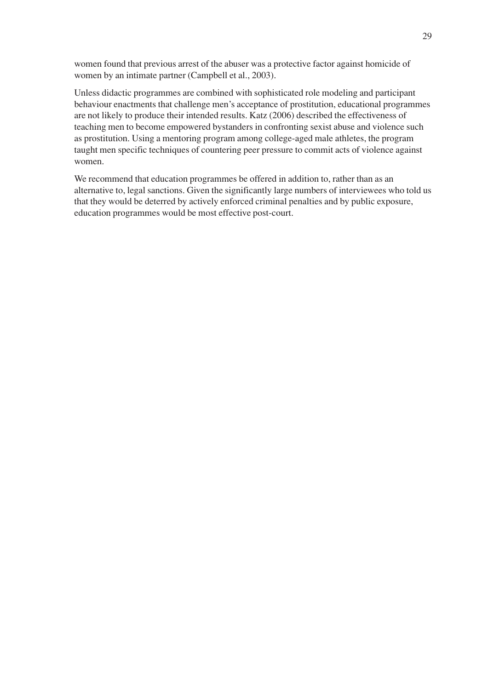women found that previous arrest of the abuser was a protective factor against homicide of women by an intimate partner (Campbell et al., 2003).

Unless didactic programmes are combined with sophisticated role modeling and participant behaviour enactments that challenge men's acceptance of prostitution, educational programmes are not likely to produce their intended results. Katz (2006) described the effectiveness of teaching men to become empowered bystanders in confronting sexist abuse and violence such as prostitution. Using a mentoring program among college-aged male athletes, the program taught men specific techniques of countering peer pressure to commit acts of violence against women.

We recommend that education programmes be offered in addition to, rather than as an alternative to, legal sanctions. Given the significantly large numbers of interviewees who told us that they would be deterred by actively enforced criminal penalties and by public exposure, education programmes would be most effective post-court.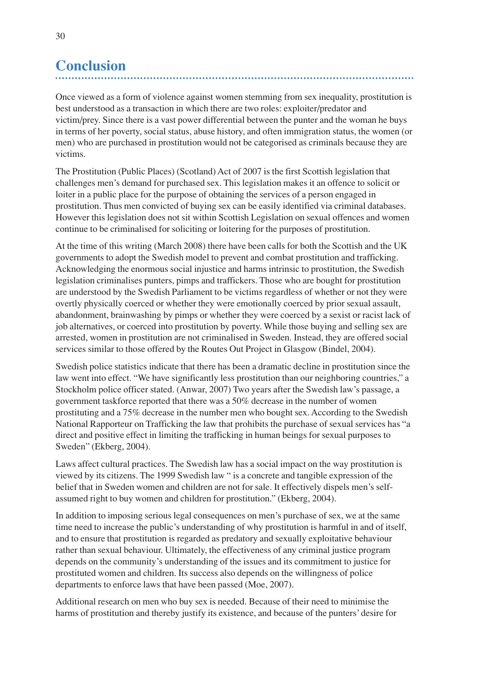# **Conclusion**

Once viewed as a form of violence against women stemming from sex inequality, prostitution is best understood as a transaction in which there are two roles: exploiter/predator and victim/prey. Since there is a vast power differential between the punter and the woman he buys in terms of her poverty, social status, abuse history, and often immigration status, the women (or men) who are purchased in prostitution would not be categorised as criminals because they are victims.

The Prostitution (Public Places) (Scotland) Act of 2007 is the first Scottish legislation that challenges men's demand for purchased sex. This legislation makes it an offence to solicit or loiter in a public place for the purpose of obtaining the services of a person engaged in prostitution. Thus men convicted of buying sex can be easily identified via criminal databases. However this legislation does not sit within Scottish Legislation on sexual offences and women continue to be criminalised for soliciting or loitering for the purposes of prostitution.

At the time of this writing (March 2008) there have been calls for both the Scottish and the UK governments to adopt the Swedish model to prevent and combat prostitution and trafficking. Acknowledging the enormous social injustice and harms intrinsic to prostitution, the Swedish legislation criminalises punters, pimps and traffickers. Those who are bought for prostitution are understood by the Swedish Parliament to be victims regardless of whether or not they were overtly physically coerced or whether they were emotionally coerced by prior sexual assault, abandonment, brainwashing by pimps or whether they were coerced by a sexist or racist lack of job alternatives, or coerced into prostitution by poverty. While those buying and selling sex are arrested, women in prostitution are not criminalised in Sweden. Instead, they are offered social services similar to those offered by the Routes Out Project in Glasgow (Bindel, 2004).

Swedish police statistics indicate that there has been a dramatic decline in prostitution since the law went into effect. "We have significantly less prostitution than our neighboring countries," a Stockholm police officer stated. (Anwar, 2007) Two years after the Swedish law's passage, a government taskforce reported that there was a 50% decrease in the number of women prostituting and a 75% decrease in the number men who bought sex. According to the Swedish National Rapporteur on Trafficking the law that prohibits the purchase of sexual services has "a direct and positive effect in limiting the trafficking in human beings for sexual purposes to Sweden" (Ekberg, 2004).

Laws affect cultural practices. The Swedish law has a social impact on the way prostitution is viewed by its citizens. The 1999 Swedish law " is a concrete and tangible expression of the belief that in Sweden women and children are not for sale. It effectively dispels men's selfassumed right to buy women and children for prostitution." (Ekberg, 2004).

In addition to imposing serious legal consequences on men's purchase of sex, we at the same time need to increase the public's understanding of why prostitution is harmful in and of itself, and to ensure that prostitution is regarded as predatory and sexually exploitative behaviour rather than sexual behaviour. Ultimately, the effectiveness of any criminal justice program depends on the community's understanding of the issues and its commitment to justice for prostituted women and children. Its success also depends on the willingness of police departments to enforce laws that have been passed (Moe, 2007).

Additional research on men who buy sex is needed. Because of their need to minimise the harms of prostitution and thereby justify its existence, and because of the punters' desire for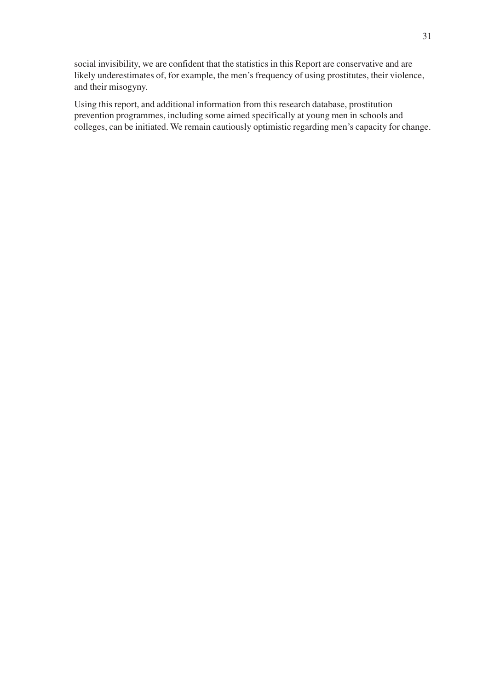social invisibility, we are confident that the statistics in this Report are conservative and are likely underestimates of, for example, the men's frequency of using prostitutes, their violence, and their misogyny.

Using this report, and additional information from this research database, prostitution prevention programmes, including some aimed specifically at young men in schools and colleges, can be initiated. We remain cautiously optimistic regarding men's capacity for change.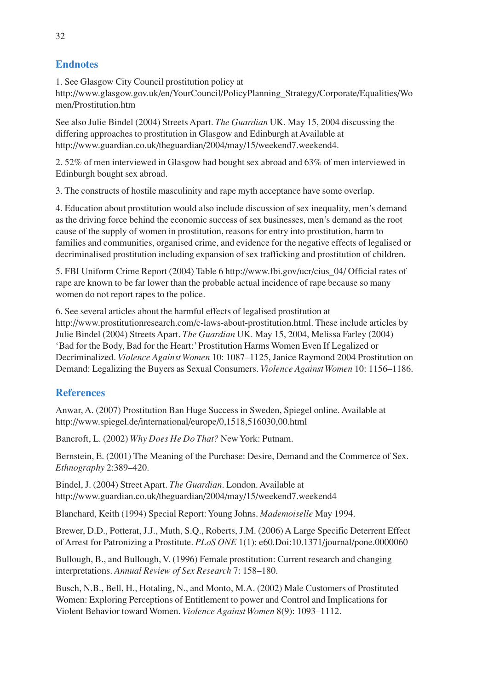# **Endnotes**

1. See Glasgow City Council prostitution policy at http://www.glasgow.gov.uk/en/YourCouncil/PolicyPlanning\_Strategy/Corporate/Equalities/Wo men/Prostitution.htm

See also Julie Bindel (2004) Streets Apart. *The Guardian* UK. May 15, 2004 discussing the differing approaches to prostitution in Glasgow and Edinburgh at Available at http://www.guardian.co.uk/theguardian/2004/may/15/weekend7.weekend4.

2. 52% of men interviewed in Glasgow had bought sex abroad and 63% of men interviewed in Edinburgh bought sex abroad.

3. The constructs of hostile masculinity and rape myth acceptance have some overlap.

4. Education about prostitution would also include discussion of sex inequality, men's demand as the driving force behind the economic success of sex businesses, men's demand as the root cause of the supply of women in prostitution, reasons for entry into prostitution, harm to families and communities, organised crime, and evidence for the negative effects of legalised or decriminalised prostitution including expansion of sex trafficking and prostitution of children.

5. FBI Uniform Crime Report (2004) Table 6 http://www.fbi.gov/ucr/cius\_04/ Official rates of rape are known to be far lower than the probable actual incidence of rape because so many women do not report rapes to the police.

6. See several articles about the harmful effects of legalised prostitution at http://www.prostitutionresearch.com/c-laws-about-prostitution.html. These include articles by Julie Bindel (2004) Streets Apart. *The Guardian* UK. May 15, 2004, Melissa Farley (2004) 'Bad for the Body, Bad for the Heart:' Prostitution Harms Women Even If Legalized or Decriminalized. *Violence Against Women* 10: 1087–1125, Janice Raymond 2004 Prostitution on Demand: Legalizing the Buyers as Sexual Consumers. *Violence Against Women* 10: 1156–1186.

# **References**

Anwar, A. (2007) Prostitution Ban Huge Success in Sweden, Spiegel online. Available at http://www.spiegel.de/international/europe/0,1518,516030,00.html

Bancroft, L. (2002) *Why Does He Do That?* New York: Putnam.

Bernstein, E. (2001) The Meaning of the Purchase: Desire, Demand and the Commerce of Sex. *Ethnography* 2:389–420.

Bindel, J. (2004) Street Apart. *The Guardian*. London. Available at http://www.guardian.co.uk/theguardian/2004/may/15/weekend7.weekend4

Blanchard, Keith (1994) Special Report:Young Johns. *Mademoiselle* May 1994.

Brewer, D.D., Potterat, J.J., Muth, S.Q., Roberts, J.M. (2006) A Large Specific Deterrent Effect of Arrest for Patronizing a Prostitute. *PLoS ONE* 1(1): e60.Doi:10.1371/journal/pone.0000060

Bullough, B., and Bullough, V. (1996) Female prostitution: Current research and changing interpretations. *Annual Review of Sex Research* 7: 158–180.

Busch, N.B., Bell, H., Hotaling, N., and Monto, M.A. (2002) Male Customers of Prostituted Women: Exploring Perceptions of Entitlement to power and Control and Implications for Violent Behavior toward Women. *Violence Against Women* 8(9): 1093–1112.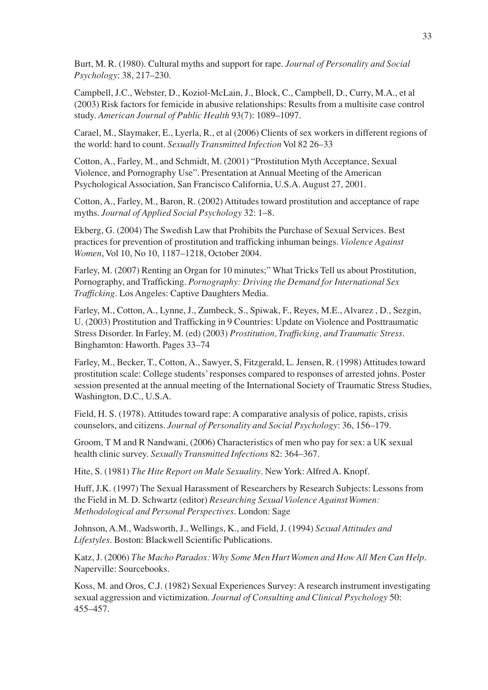Burt, M. R. (1980). Cultural myths and support for rape. *Journal of Personality and Social Psychology*: 38, 217–230.

Campbell, J.C., Webster, D., Koziol-McLain, J., Block, C., Campbell, D., Curry, M.A., et al (2003) Risk factors for femicide in abusive relationships: Results from a multisite case control study. *American Journal of Public Health* 93(7): 1089–1097.

Carael, M., Slaymaker, E., Lyerla, R., et al (2006) Clients of sex workers in different regions of the world: hard to count. *Sexually Transmitted Infection* Vol 82 26–33

Cotton, A., Farley, M., and Schmidt, M. (2001) "Prostitution Myth Acceptance, Sexual Violence, and Pornography Use". Presentation at Annual Meeting of the American Psychological Association, San Francisco California, U.S.A. August 27, 2001.

Cotton, A., Farley, M., Baron, R. (2002) Attitudes toward prostitution and acceptance of rape myths. *Journal of Applied Social Psychology* 32: 1–8.

Ekberg, G. (2004) The Swedish Law that Prohibits the Purchase of Sexual Services. Best practices for prevention of prostitution and trafficking inhuman beings. *Violence Against Women*, Vol 10, No 10, 1187–1218, October 2004.

Farley, M. (2007) Renting an Organ for 10 minutes;" What Tricks Tell us about Prostitution, Pornography, and Trafficking. *Pornography: Driving the Demand for International Sex Trafficking*. Los Angeles: Captive Daughters Media.

Farley, M., Cotton, A., Lynne, J., Zumbeck, S., Spiwak, F., Reyes, M.E., Alvarez , D., Sezgin, U. (2003) Prostitution and Trafficking in 9 Countries: Update on Violence and Posttraumatic Stress Disorder. In Farley, M. (ed) (2003) *Prostitution, Trafficking, and Traumatic Stress*. Binghamton: Haworth. Pages 33–74

Farley, M., Becker, T., Cotton, A., Sawyer, S, Fitzgerald, L. Jensen, R. (1998) Attitudes toward prostitution scale: College students' responses compared to responses of arrested johns. Poster session presented at the annual meeting of the International Society of Traumatic Stress Studies, Washington, D.C., U.S.A.

Field, H. S. (1978). Attitudes toward rape: A comparative analysis of police, rapists, crisis counselors, and citizens. *Journal of Personality and Social Psychology*: 36, 156–179.

Groom, T M and R Nandwani, (2006) Characteristics of men who pay for sex: a UK sexual health clinic survey. *Sexually Transmitted Infections* 82: 364–367.

Hite, S. (1981) *The Hite Report on Male Sexuality*. New York: Alfred A. Knopf.

Huff, J.K. (1997) The Sexual Harassment of Researchers by Research Subjects: Lessons from the Field in M. D. Schwartz (editor) *Researching Sexual Violence Against Women: Methodological and Personal Perspectives*. London: Sage

Johnson, A.M., Wadsworth, J., Wellings, K., and Field, J. (1994) *Sexual Attitudes and Lifestyles*. Boston: Blackwell Scientific Publications.

Katz, J. (2006) *The Macho Paradox: Why Some Men Hurt Women and How All Men Can Help*. Naperville: Sourcebooks.

Koss, M. and Oros, C.J. (1982) Sexual Experiences Survey: A research instrument investigating sexual aggression and victimization. *Journal of Consulting and Clinical Psychology* 50: 455–457.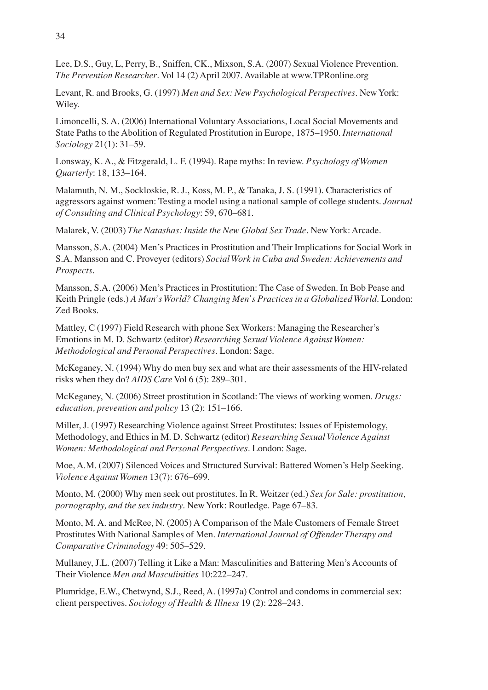Lee, D.S., Guy, L, Perry, B., Sniffen, CK., Mixson, S.A. (2007) Sexual Violence Prevention. *The Prevention Researcher*. Vol 14 (2) April 2007. Available at www.TPRonline.org

Levant, R. and Brooks, G. (1997) *Men and Sex: New Psychological Perspectives*. New York: Wiley.

Limoncelli, S. A. (2006) International Voluntary Associations, Local Social Movements and State Paths to the Abolition of Regulated Prostitution in Europe, 1875–1950. *International Sociology* 21(1): 31–59.

Lonsway, K. A., & Fitzgerald, L. F. (1994). Rape myths: In review. *Psychology of Women Quarterly*: 18, 133–164.

Malamuth, N. M., Sockloskie, R. J., Koss, M. P., & Tanaka, J. S. (1991). Characteristics of aggressors against women: Testing a model using a national sample of college students. *Journal of Consulting and Clinical Psychology*: 59, 670–681.

Malarek, V. (2003) *The Natashas: Inside the New Global Sex Trade*. New York: Arcade.

Mansson, S.A. (2004) Men's Practices in Prostitution and Their Implications for Social Work in S.A. Mansson and C. Proveyer (editors) *Social Work in Cuba and Sweden: Achievements and Prospects*.

Mansson, S.A. (2006) Men's Practices in Prostitution: The Case of Sweden. In Bob Pease and Keith Pringle (eds.) *A Man's World? Changing Men's Practices in a Globalized World*. London: Zed Books.

Mattley, C (1997) Field Research with phone Sex Workers: Managing the Researcher's Emotions in M. D. Schwartz (editor) *Researching Sexual Violence Against Women: Methodological and Personal Perspectives*. London: Sage.

McKeganey, N. (1994) Why do men buy sex and what are their assessments of the HIV-related risks when they do? *AIDS Care* Vol 6 (5): 289–301.

McKeganey, N. (2006) Street prostitution in Scotland: The views of working women. *Drugs: education, prevention and policy* 13 (2): 151–166.

Miller, J. (1997) Researching Violence against Street Prostitutes: Issues of Epistemology, Methodology, and Ethics in M. D. Schwartz (editor) *Researching Sexual Violence Against Women: Methodological and Personal Perspectives*. London: Sage.

Moe, A.M. (2007) Silenced Voices and Structured Survival: Battered Women's Help Seeking. *Violence Against Women* 13(7): 676–699.

Monto, M. (2000) Why men seek out prostitutes. In R. Weitzer (ed.) *Sex for Sale: prostitution, pornography, and the sex industry*. New York: Routledge. Page 67–83.

Monto, M. A. and McRee, N. (2005) A Comparison of the Male Customers of Female Street Prostitutes With National Samples of Men. *International Journal of Offender Therapy and Comparative Criminology* 49: 505–529.

Mullaney, J.L. (2007) Telling it Like a Man: Masculinities and Battering Men's Accounts of Their Violence *Men and Masculinities* 10:222–247.

Plumridge, E.W., Chetwynd, S.J., Reed, A. (1997a) Control and condoms in commercial sex: client perspectives. *Sociology of Health & Illness* 19 (2): 228–243.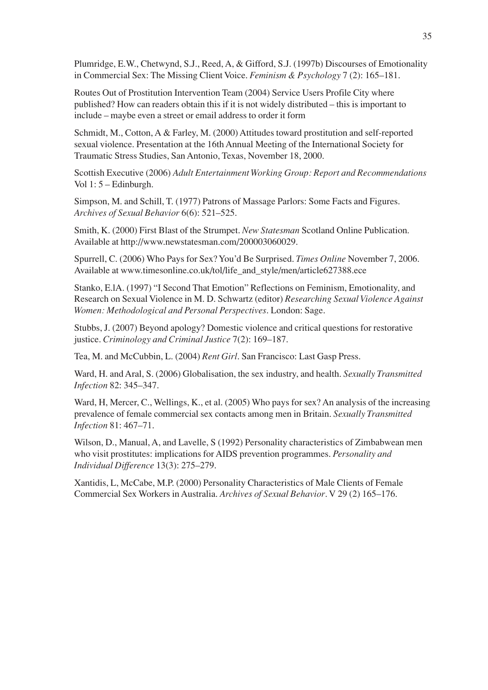Plumridge, E.W., Chetwynd, S.J., Reed, A, & Gifford, S.J. (1997b) Discourses of Emotionality in Commercial Sex: The Missing Client Voice. *Feminism & Psychology* 7 (2): 165–181.

Routes Out of Prostitution Intervention Team (2004) Service Users Profile City where published? How can readers obtain this if it is not widely distributed – this is important to include – maybe even a street or email address to order it form

Schmidt, M., Cotton, A & Farley, M. (2000) Attitudes toward prostitution and self-reported sexual violence. Presentation at the 16th Annual Meeting of the International Society for Traumatic Stress Studies, San Antonio, Texas, November 18, 2000.

Scottish Executive (2006) *Adult Entertainment Working Group: Report and Recommendations* Vol 1: 5 – Edinburgh.

Simpson, M. and Schill, T. (1977) Patrons of Massage Parlors: Some Facts and Figures. *Archives of Sexual Behavior* 6(6): 521–525.

Smith, K. (2000) First Blast of the Strumpet. *New Statesman* Scotland Online Publication. Available at http://www.newstatesman.com/200003060029.

Spurrell, C. (2006) Who Pays for Sex? You'd Be Surprised. *Times Online* November 7, 2006. Available at www.timesonline.co.uk/tol/life\_and\_style/men/article627388.ece

Stanko, E.lA. (1997) "I Second That Emotion" Reflections on Feminism, Emotionality, and Research on Sexual Violence in M. D. Schwartz (editor) *Researching Sexual Violence Against Women: Methodological and Personal Perspectives*. London: Sage.

Stubbs, J. (2007) Beyond apology? Domestic violence and critical questions for restorative justice. *Criminology and Criminal Justice* 7(2): 169–187.

Tea, M. and McCubbin, L. (2004) *Rent Girl*. San Francisco: Last Gasp Press.

Ward, H. and Aral, S. (2006) Globalisation, the sex industry, and health. *Sexually Transmitted Infection* 82: 345–347.

Ward, H, Mercer, C., Wellings, K., et al. (2005) Who pays for sex? An analysis of the increasing prevalence of female commercial sex contacts among men in Britain. *Sexually Transmitted Infection* 81: 467–71.

Wilson, D., Manual, A, and Lavelle, S (1992) Personality characteristics of Zimbabwean men who visit prostitutes: implications for AIDS prevention programmes. *Personality and Individual Difference* 13(3): 275–279.

Xantidis, L, McCabe, M.P. (2000) Personality Characteristics of Male Clients of Female Commercial Sex Workers in Australia. *Archives of Sexual Behavior*. V 29 (2) 165–176.